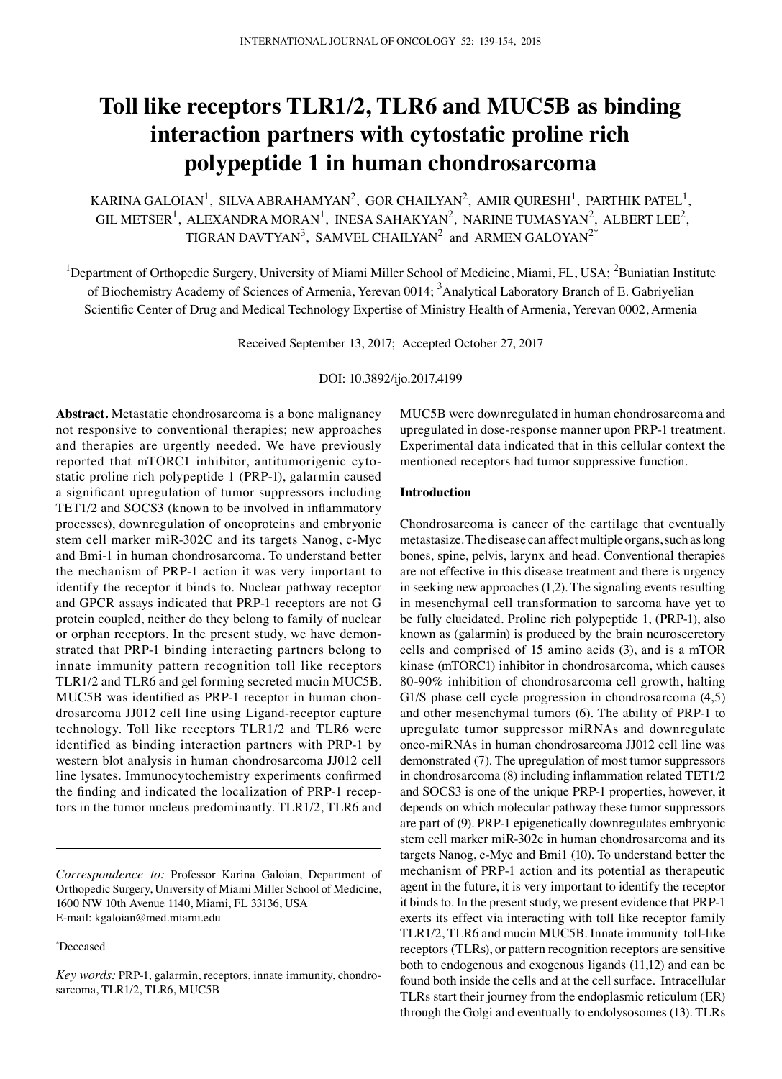# Toll like receptors TLR1/2, TLR6 and MUC5B as binding **interaction partners with cytostatic proline rich polypeptide 1 in human chondrosarcoma**

KARINA GALOIAN $^{\rm l}$ , SILVA ABRAHAMYAN $^{\rm 2}$ , GOR CHAILYAN $^{\rm 2}$ , AMIR QURESHI $^{\rm l}$ , PARTHIK PATEL $^{\rm l}$ , GIL METSER<sup>1</sup>, ALEXANDRA MORAN<sup>1</sup>, INESA SAHAKYAN<sup>2</sup>, NARINE TUMASYAN<sup>2</sup>, ALBERT LEE<sup>2</sup> TIGRAN DAVTYAN<sup>3</sup>, SAMVEL CHAILYAN<sup>2</sup> and ARMEN GALOYAN<sup>2\*</sup>

<sup>1</sup>Department of Orthopedic Surgery, University of Miami Miller School of Medicine, Miami, FL, USA; <sup>2</sup>Buniatian Institute of Biochemistry Academy of Sciences of Armenia, Yerevan 0014; <sup>3</sup>Analytical Laboratory Branch of E. Gabriyelian Scientific Center of Drug and Medical Technology Expertise of Ministry Health of Armenia, Yerevan 0002, Armenia

Received September 13, 2017; Accepted October 27, 2017

DOI: 10.3892/ijo.2017.4199

**Abstract.** Metastatic chondrosarcoma is a bone malignancy not responsive to conventional therapies; new approaches and therapies are urgently needed. We have previously reported that mTORC1 inhibitor, antitumorigenic cytostatic proline rich polypeptide 1 (PRP-1), galarmin caused a significant upregulation of tumor suppressors including TET1/2 and SOCS3 (known to be involved in inflammatory processes), downregulation of oncoproteins and embryonic stem cell marker miR-302C and its targets Nanog, c-Myc and Bmi-1 in human chondrosarcoma. To understand better the mechanism of PRP-1 action it was very important to identify the receptor it binds to. Nuclear pathway receptor and GPCR assays indicated that PRP-1 receptors are not G protein coupled, neither do they belong to family of nuclear or orphan receptors. In the present study, we have demonstrated that PRP-1 binding interacting partners belong to innate immunity pattern recognition toll like receptors TLR1/2 and TLR6 and gel forming secreted mucin MUC5B. MUC5B was identified as PRP-1 receptor in human chondrosarcoma JJ012 cell line using Ligand-receptor capture technology. Toll like receptors TLR1/2 and TLR6 were identified as binding interaction partners with PRP-1 by western blot analysis in human chondrosarcoma JJ012 cell line lysates. Immunocytochemistry experiments confirmed the finding and indicated the localization of PRP-1 receptors in the tumor nucleus predominantly. TLR1/2, TLR6 and

*Correspondence to:* Professor Karina Galoian, Department of Orthopedic Surgery, University of Miami Miller School of Medicine, 1600 NW 10th Avenue 1140, Miami, FL 33136, USA E-mail: kgaloian@med.miami.edu

\* Deceased

MUC5B were downregulated in human chondrosarcoma and upregulated in dose-response manner upon PRP-1 treatment. Experimental data indicated that in this cellular context the mentioned receptors had tumor suppressive function.

### **Introduction**

Chondrosarcoma is cancer of the cartilage that eventually metastasize. The disease can affect multiple organs, such as long bones, spine, pelvis, larynx and head. Conventional therapies are not effective in this disease treatment and there is urgency in seeking new approaches (1,2). The signaling events resulting in mesenchymal cell transformation to sarcoma have yet to be fully elucidated. Proline rich polypeptide 1, (PRP-1), also known as (galarmin) is produced by the brain neurosecretory cells and comprised of 15 amino acids (3), and is a mTOR kinase (mTORC1) inhibitor in chondrosarcoma, which causes 80-90% inhibition of chondrosarcoma cell growth, halting G1/S phase cell cycle progression in chondrosarcoma  $(4,5)$ and other mesenchymal tumors (6). The ability of PRP-1 to upregulate tumor suppressor miRNAs and downregulate onco-miRNAs in human chondrosarcoma JJ012 cell line was demonstrated (7). The upregulation of most tumor suppressors in chondrosarcoma (8) including inflammation related TET1/2 and SOCS3 is one of the unique PRP-1 properties, however, it depends on which molecular pathway these tumor suppressors are part of (9). PRP-1 epigenetically downregulates embryonic stem cell marker miR-302c in human chondrosarcoma and its targets Nanog, c-Myc and Bmi1 (10). To understand better the mechanism of PRP-1 action and its potential as therapeutic agent in the future, it is very important to identify the receptor it binds to. In the present study, we present evidence that PRP-1 exerts its effect via interacting with toll like receptor family TLR1/2, TLR6 and mucin MUC5B. Innate immunity toll-like receptors (TLRs), or pattern recognition receptors are sensitive both to endogenous and exogenous ligands (11,12) and can be found both inside the cells and at the cell surface. Intracellular TLRs start their journey from the endoplasmic reticulum (ER) through the Golgi and eventually to endolysosomes (13). TLRs

*Key words:* PRP-1, galarmin, receptors, innate immunity, chondrosarcoma, TLR1/2, TLR6, MUC5B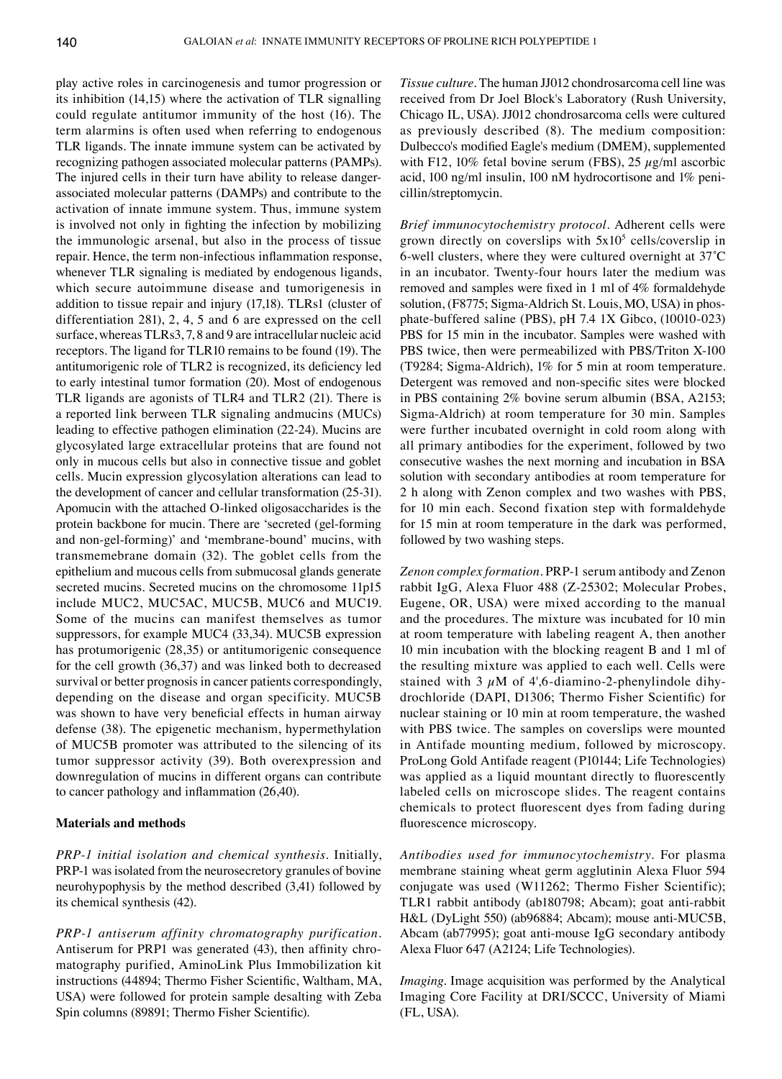play active roles in carcinogenesis and tumor progression or its inhibition (14,15) where the activation of TLR signalling could regulate antitumor immunity of the host (16). The term alarmins is often used when referring to endogenous TLR ligands. The innate immune system can be activated by recognizing pathogen associated molecular patterns (PAMPs). The injured cells in their turn have ability to release dangerassociated molecular patterns (DAMPs) and contribute to the activation of innate immune system. Thus, immune system is involved not only in fighting the infection by mobilizing the immunologic arsenal, but also in the process of tissue repair. Hence, the term non-infectious inflammation response, whenever TLR signaling is mediated by endogenous ligands, which secure autoimmune disease and tumorigenesis in addition to tissue repair and injury (17,18). TLRs1 (cluster of differentiation 281), 2, 4, 5 and 6 are expressed on the cell surface, whereas TLRs3, 7, 8 and 9 are intracellular nucleic acid receptors. The ligand for TLR10 remains to be found (19). The antitumorigenic role of TLR2 is recognized, its deficiency led to early intestinal tumor formation (20). Most of endogenous TLR ligands are agonists of TLR4 and TLR2 (21). There is a reported link berween TLR signaling andmucins (MUCs) leading to effective pathogen elimination (22-24). Mucins are glycosylated large extracellular proteins that are found not only in mucous cells but also in connective tissue and goblet cells. Mucin expression glycosylation alterations can lead to the development of cancer and cellular transformation (25-31). Apomucin with the attached O-linked oligosaccharides is the protein backbone for mucin. There are 'secreted (gel-forming and non-gel-forming)' and 'membrane-bound' mucins, with transmemebrane domain (32). The goblet cells from the epithelium and mucous cells from submucosal glands generate secreted mucins. Secreted mucins on the chromosome 11p15 include MUC2, MUC5AC, MUC5B, MUC6 and MUC19. Some of the mucins can manifest themselves as tumor suppressors, for example MUC4 (33,34). MUC5B expression has protumorigenic (28,35) or antitumorigenic consequence for the cell growth (36,37) and was linked both to decreased survival or better prognosis in cancer patients correspondingly, depending on the disease and organ specificity. MUC5B was shown to have very beneficial effects in human airway defense (38). The epigenetic mechanism, hypermethylation of MUC5B promoter was attributed to the silencing of its tumor suppressor activity (39). Both overexpression and downregulation of mucins in different organs can contribute to cancer pathology and inflammation (26,40).

#### **Materials and methods**

*PRP-1 initial isolation and chemical synthesis.* Initially, PRP-1 was isolated from the neurosecretory granules of bovine neurohypophysis by the method described (3,41) followed by its chemical synthesis (42).

*PRP-1 antiserum affinity chromatography purification.*  Antiserum for PRP1 was generated (43), then affinity chromatography purified, AminoLink Plus Immobilization kit instructions (44894; Thermo Fisher Scientific, Waltham, Ma, USA) were followed for protein sample desalting with Zeba Spin columns (89891; Thermo Fisher Scientific).

*Tissue culture.* The human JJ012 chondrosarcoma cell line was received from Dr Joel Block's Laboratory (Rush University, Chicago IL, USA). JJ012 chondrosarcoma cells were cultured as previously described (8). The medium composition: Dulbecco's modified Eagle's medium (DMEM), supplemented with F12, 10% fetal bovine serum (FBS), 25  $\mu$ g/ml ascorbic acid, 100 ng/ml insulin, 100 nM hydrocortisone and 1% penicillin/streptomycin.

*Brief immunocytochemistry protocol.* Adherent cells were grown directly on coverslips with  $5x10<sup>5</sup>$  cells/coverslip in 6-well clusters, where they were cultured overnight at 37˚C in an incubator. Twenty-four hours later the medium was removed and samples were fixed in 1 ml of 4% formaldehyde solution, (F8775; Sigma-Aldrich St. Louis, MO, USA) in phosphate-buffered saline (PBS), pH 7.4 1X Gibco, (10010-023) PBS for 15 min in the incubator. Samples were washed with PBS twice, then were permeabilized with PBS/Triton X-100 (T9284; Sigma-Aldrich), 1% for 5 min at room temperature. Detergent was removed and non-specific sites were blocked in PBS containing 2% bovine serum albumin (BSA, A2153; Sigma-Aldrich) at room temperature for 30 min. Samples were further incubated overnight in cold room along with all primary antibodies for the experiment, followed by two consecutive washes the next morning and incubation in BSA solution with secondary antibodies at room temperature for 2 h along with Zenon complex and two washes with PBS, for 10 min each. Second fixation step with formaldehyde for 15 min at room temperature in the dark was performed, followed by two washing steps.

*Zenon complex formation.* PRP-1 serum antibody and Zenon rabbit IgG, Alexa Fluor 488 (Z-25302; Molecular Probes, Eugene, OR, USA) were mixed according to the manual and the procedures. The mixture was incubated for 10 min at room temperature with labeling reagent A, then another 10 min incubation with the blocking reagent B and 1 ml of the resulting mixture was applied to each well. Cells were stained with 3  $\mu$ M of 4',6-diamino-2-phenylindole dihydrochloride (DAPI, D1306; Thermo Fisher Scientific) for nuclear staining or 10 min at room temperature, the washed with PBS twice. The samples on coverslips were mounted in Antifade mounting medium, followed by microscopy. ProLong Gold Antifade reagent (P10144; Life Technologies) was applied as a liquid mountant directly to fluorescently labeled cells on microscope slides. The reagent contains chemicals to protect fluorescent dyes from fading during fluorescence microscopy.

*Antibodies used for immunocytochemistry.* For plasma membrane staining wheat germ agglutinin Alexa fluor 594 conjugate was used (W11262; Thermo Fisher Scientific); TLR1 rabbit antibody (ab180798; Abcam); goat anti-rabbit H&L (DyLight 550) (ab96884; Abcam); mouse anti-Muc5B, Abcam (ab77995); goat anti-mouse IgG secondary antibody Alexa Fluor 647 (A2124; Life Technologies).

*Imaging.* Image acquisition was performed by the Analytical Imaging Core Facility at DRI/SCCC, University of Miami (FL, USA).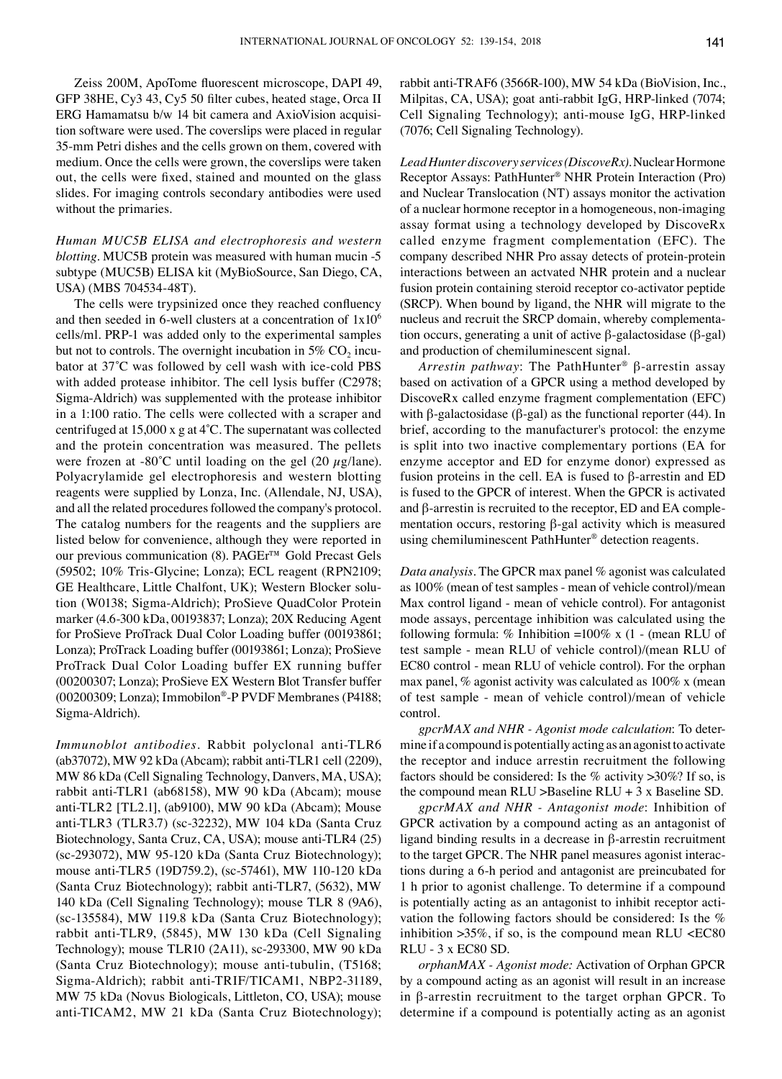Zeiss 200M, ApoTome fluorescent microscope, DAPI 49, GFP 38HE, Cy3 43, Cy5 50 filter cubes, heated stage, Orca II ERG Hamamatsu b/w 14 bit camera and AxioVision acquisition software were used. The coverslips were placed in regular 35-mm Petri dishes and the cells grown on them, covered with medium. Once the cells were grown, the coverslips were taken out, the cells were fixed, stained and mounted on the glass slides. For imaging controls secondary antibodies were used without the primaries.

## *Human MUC5B Elisa and electrophoresis and western blotting.* MUC5B protein was measured with human mucin -5 subtype (MUC5B) ELISA kit (MyBioSource, San Diego, Ca, USA) (MBS 704534-48T).

The cells were trypsinized once they reached confluency and then seeded in 6-well clusters at a concentration of  $1x10<sup>6</sup>$ cells/ml. PRP-1 was added only to the experimental samples but not to controls. The overnight incubation in  $5\%$  CO<sub>2</sub> incubator at 37°C was followed by cell wash with ice-cold PBS with added protease inhibitor. The cell lysis buffer (C2978; Sigma-Aldrich) was supplemented with the protease inhibitor in a 1:100 ratio. The cells were collected with a scraper and centrifuged at 15,000 x g at 4˚C. The supernatant was collected and the protein concentration was measured. The pellets were frozen at -80°C until loading on the gel (20  $\mu$ g/lane). Polyacrylamide gel electrophoresis and western blotting reagents were supplied by Lonza, Inc. (Allendale, NJ, USA), and all the related procedures followed the company's protocol. The catalog numbers for the reagents and the suppliers are listed below for convenience, although they were reported in our previous communication (8). PAGEr™ Gold Precast Gels (59502; 10% Tris‑Glycine; Lonza); ECL reagent (RPN2109; GE Healthcare, Little Chalfont, UK); Western Blocker solution (W0138; Sigma-Aldrich); ProSieve QuadColor Protein marker (4.6-300 kDa, 00193837; Lonza); 20X Reducing Agent for ProSieve ProTrack Dual Color Loading buffer (00193861; Lonza); ProTrack Loading buffer (00193861; Lonza); ProSieve ProTrack Dual Color Loading buffer EX running buffer (00200307; Lonza); ProSieve EX Western Blot Transfer buffer (00200309; Lonza); Immobilon®-P PVDF Membranes (P4188; Sigma-Aldrich).

*Immunoblot antibodies.* Rabbit polyclonal anti-TLR6 (ab37072), MW 92 kDa (Abcam); rabbit anti-TLR1 cell (2209), MW 86 kDa (Cell Signaling Technology, Danvers, MA, USA); rabbit anti-TLR1 (ab68158), MW 90 kDa (Abcam); mouse anti-TLR2 [TL2.1], (ab9100), MW 90 kDa (Abcam); Mouse anti-TLR3 (TLR3.7) (sc-32232), MW 104 kDa (Santa Cruz Biotechnology, Santa Cruz, CA, USA); mouse anti-TLR4 (25) (sc-293072), MW 95-120 kDa (Santa Cruz biotechnology); mouse anti-TLR5 (19D759.2), (sc-57461), MW 110-120 kDa (Santa Cruz biotechnology); rabbit anti-TLR7, (5632), MW 140 kDa (Cell Signaling Technology); mouse TLR 8 (9A6), (sc-135584), MW 119.8 kDa (Santa Cruz Biotechnology); rabbit anti-TLR9, (5845), MW 130 kDa (Cell signaling Technology); mouse TLR10 (2A11), sc-293300, MW 90 kDa (Santa Cruz Biotechnology); mouse anti-tubulin, (T5168; Sigma-Aldrich); rabbit anti-TRIF/TICAM1, NBP2-31189, MW 75 kDa (Novus Biologicals, Littleton, CO, USA); mouse anti-TICAM2, MW 21 kDa (Santa Cruz biotechnology); rabbit anti-TRAF6 (3566R-100), MW 54 kDa (BioVision, Inc., Milpitas, CA, USA); goat anti-rabbit IgG, HRP-linked (7074; Cell Signaling Technology); anti-mouse IgG, HRP-linked (7076; Cell Signaling Technology).

*Lead Hunter discovery services (DiscoveRx).* Nuclear Hormone Receptor Assays: PathHunter® NHR Protein Interaction (Pro) and Nuclear Translocation (NT) assays monitor the activation of a nuclear hormone receptor in a homogeneous, non-imaging assay format using a technology developed by DiscoveRx called enzyme fragment complementation (EFC). The company described NHR Pro assay detects of protein-protein interactions between an actvated NHR protein and a nuclear fusion protein containing steroid receptor co-activator peptide (SRCP). When bound by ligand, the NHR will migrate to the nucleus and recruit the SRCP domain, whereby complementation occurs, generating a unit of active β-galactosidase (β-gal) and production of chemiluminescent signal.

*Arrestin pathway*: The PathHunter® β-arrestin assay based on activation of a GPCR using a method developed by DiscoveRx called enzyme fragment complementation (EFC) with β-galactosidase (β-gal) as the functional reporter (44). In brief, according to the manufacturer's protocol: the enzyme is split into two inactive complementary portions (EA for enzyme acceptor and ED for enzyme donor) expressed as fusion proteins in the cell. EA is fused to β-arrestin and ED is fused to the GPCR of interest. When the GPCR is activated and β-arrestin is recruited to the receptor, ED and EA complementation occurs, restoring β-gal activity which is measured using chemiluminescent PathHunter® detection reagents.

*Data analysis.* The GPCR max panel % agonist was calculated as 100% (mean of test samples - mean of vehicle control)/mean Max control ligand - mean of vehicle control). For antagonist mode assays, percentage inhibition was calculated using the following formula: % Inhibition =100% x  $(1 - \text{mean RLU of})$ test sample - mean RLU of vehicle control)/(mean RLU of EC80 control - mean RLU of vehicle control). For the orphan max panel, % agonist activity was calculated as 100% x (mean of test sample - mean of vehicle control)/mean of vehicle control.

*gpcrMAX and NHR - Agonist mode calculation*: To determine if a compound is potentially acting as an agonist to activate the receptor and induce arrestin recruitment the following factors should be considered: Is the % activity  $>30\%$ ? If so, is the compound mean RLU >Baseline RLU + 3 x Baseline SD.

*gpcrMAX and NHR - Antagonist mode*: Inhibition of GPCR activation by a compound acting as an antagonist of ligand binding results in a decrease in β-arrestin recruitment to the target GPCR. The NHR panel measures agonist interactions during a 6-h period and antagonist are preincubated for 1 h prior to agonist challenge. To determine if a compound is potentially acting as an antagonist to inhibit receptor activation the following factors should be considered: Is the % inhibition  $>35\%$ , if so, is the compound mean RLU <EC80 RLU - 3 x EC80 SD.

*orphanMAX - Agonist mode:* Activation of Orphan GPCR by a compound acting as an agonist will result in an increase in β-arrestin recruitment to the target orphan GPCR. To determine if a compound is potentially acting as an agonist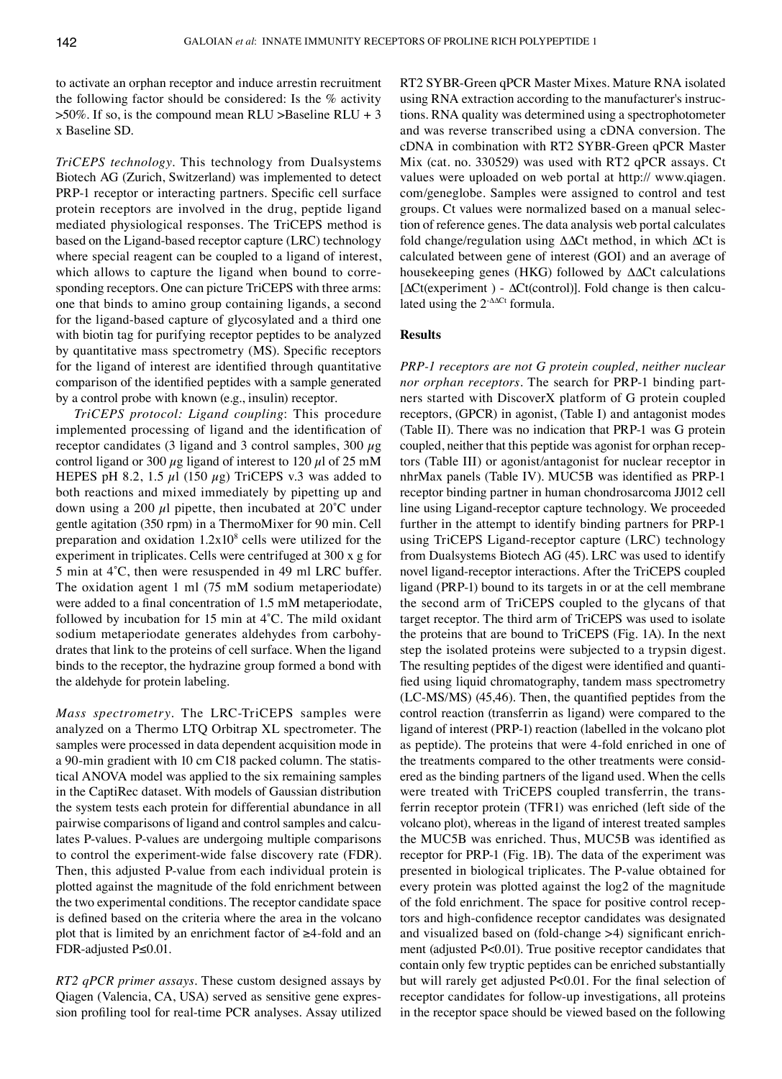to activate an orphan receptor and induce arrestin recruitment the following factor should be considered: Is the % activity  $>50\%$ . If so, is the compound mean RLU  $>$ Baseline RLU + 3 x Baseline SD.

*TriCEPS technology.* This technology from Dualsystems Biotech AG (Zurich, Switzerland) was implemented to detect PRP-1 receptor or interacting partners. Specific cell surface protein receptors are involved in the drug, peptide ligand mediated physiological responses. The TriCEPS method is based on the ligand-based receptor capture (LRC) technology where special reagent can be coupled to a ligand of interest, which allows to capture the ligand when bound to corresponding receptors. One can picture TriCEPS with three arms: one that binds to amino group containing ligands, a second for the ligand-based capture of glycosylated and a third one with biotin tag for purifying receptor peptides to be analyzed by quantitative mass spectrometry (MS). Specific receptors for the ligand of interest are identified through quantitative comparison of the identified peptides with a sample generated by a control probe with known (e.g., insulin) receptor.

*TriCEPS protocol: Ligand coupling*: This procedure implemented processing of ligand and the identification of receptor candidates (3 ligand and 3 control samples,  $300 \mu$ g control ligand or 300  $\mu$ g ligand of interest to 120  $\mu$ l of 25 mM HEPES pH 8.2, 1.5  $\mu$ l (150  $\mu$ g) TriCEPS v.3 was added to both reactions and mixed immediately by pipetting up and down using a 200  $\mu$ l pipette, then incubated at 20 $^{\circ}$ C under gentle agitation (350 rpm) in a ThermoMixer for 90 min. Cell preparation and oxidation  $1.2x10<sup>8</sup>$  cells were utilized for the experiment in triplicates. Cells were centrifuged at 300 x g for 5 min at 4˚C, then were resuspended in 49 ml LRC buffer. The oxidation agent 1 ml (75 mM sodium metaperiodate) were added to a final concentration of 1.5 mM metaperiodate, followed by incubation for 15 min at 4˚C. The mild oxidant sodium metaperiodate generates aldehydes from carbohydrates that link to the proteins of cell surface. When the ligand binds to the receptor, the hydrazine group formed a bond with the aldehyde for protein labeling.

*Mass spectrometry.* The LRC-TriCEPS samples were analyzed on a Thermo LTQ Orbitrap XL spectrometer. The samples were processed in data dependent acquisition mode in a 90-min gradient with 10 cm C18 packed column. The statistical ANOVA model was applied to the six remaining samples in the CaptiRec dataset. With models of Gaussian distribution the system tests each protein for differential abundance in all pairwise comparisons of ligand and control samples and calculates P-values. P-values are undergoing multiple comparisons to control the experiment-wide false discovery rate (FDR). Then, this adjusted P-value from each individual protein is plotted against the magnitude of the fold enrichment between the two experimental conditions. The receptor candidate space is defined based on the criteria where the area in the volcano plot that is limited by an enrichment factor of ≥4-fold and an FDR-adjusted p≤0.01.

*RT2 qPCR primer assays.* These custom designed assays by Qiagen (Valencia, CA, USA) served as sensitive gene expression profiling tool for real-time PCR analyses. Assay utilized RT2 SYBR-Green qPCR Master mixes. Mature RNA isolated using RNA extraction according to the manufacturer's instructions. RNA quality was determined using a spectrophotometer and was reverse transcribed using a cDNA conversion. The cDNA in combination with RT2 SYBR-Green qPCR Master mix (cat. no. 330529) was used with RT2 qPCR assays. Ct values were uploaded on web portal at http:// www.qiagen. com/geneglobe. Samples were assigned to control and test groups. Ct values were normalized based on a manual selection of reference genes. The data analysis web portal calculates fold change/regulation using ∆∆Ct method, in which ∆Ct is calculated between gene of interest (GOI) and an average of housekeeping genes (HKG) followed by ∆∆Ct calculations [∆Ct(experiment) - ∆Ct(control)]. Fold change is then calculated using the 2-∆∆Ct formula.

## **Results**

*PRP-1 receptors are not G protein coupled, neither nuclear nor orphan receptors.* The search for PRP-1 binding partners started with DiscoverX platform of G protein coupled receptors, (GPCR) in agonist, (Table I) and antagonist modes (Table II). There was no indication that PRP-1 was G protein coupled, neither that this peptide was agonist for orphan receptors (Table III) or agonist/antagonist for nuclear receptor in nhrMax panels (Table iv). MUC5B was identified as PRP-1 receptor binding partner in human chondrosarcoma JJ012 cell line using Ligand-receptor capture technology. We proceeded further in the attempt to identify binding partners for PRP-1 using TriCEPS Ligand-receptor capture (LRC) technology from Dualsystems Biotech AG (45). LRC was used to identify novel ligand-receptor interactions. After the TriCEPS coupled ligand (PRP-1) bound to its targets in or at the cell membrane the second arm of TriCEPS coupled to the glycans of that target receptor. The third arm of TriCEPS was used to isolate the proteins that are bound to TriCEPS (Fig. 1A). In the next step the isolated proteins were subjected to a trypsin digest. The resulting peptides of the digest were identified and quantified using liquid chromatography, tandem mass spectrometry (LC-MS/MS) (45,46). Then, the quantified peptides from the control reaction (transferrin as ligand) were compared to the ligand of interest (PRP-1) reaction (labelled in the volcano plot as peptide). The proteins that were 4-fold enriched in one of the treatments compared to the other treatments were considered as the binding partners of the ligand used. When the cells were treated with TriCEPS coupled transferrin, the transferrin receptor protein (TFR1) was enriched (left side of the volcano plot), whereas in the ligand of interest treated samples the MUC5B was enriched. Thus, MUC5B was identified as receptor for PRP-1 (Fig. 1B). The data of the experiment was presented in biological triplicates. The P-value obtained for every protein was plotted against the log2 of the magnitude of the fold enrichment. The space for positive control receptors and high-confidence receptor candidates was designated and visualized based on (fold-change >4) significant enrichment (adjusted P<0.01). True positive receptor candidates that contain only few tryptic peptides can be enriched substantially but will rarely get adjusted P<0.01. For the final selection of receptor candidates for follow-up investigations, all proteins in the receptor space should be viewed based on the following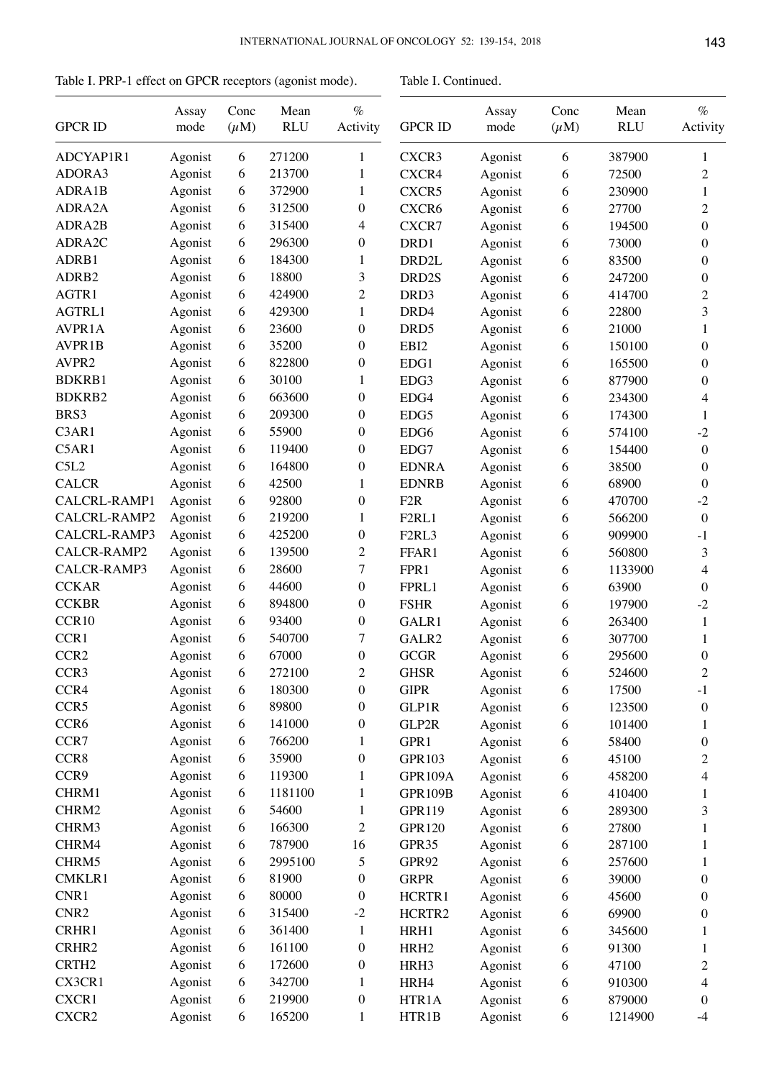Table I. PRP-1 effect on GPCR receptors (agonist mode).

Table I. Continued.

| <b>GPCR ID</b>    | Assay<br>mode | Conc<br>$(\mu M)$ | Mean<br><b>RLU</b> | $\%$<br>Activity | <b>GPCR ID</b>                 | Assay<br>mode | Conc<br>$(\mu M)$ | Mean<br><b>RLU</b> | $\%$<br>Activity |
|-------------------|---------------|-------------------|--------------------|------------------|--------------------------------|---------------|-------------------|--------------------|------------------|
| ADCYAP1R1         | Agonist       | 6                 | 271200             | 1                | CXCR3                          | Agonist       | 6                 | 387900             | 1                |
| ADORA3            | Agonist       | 6                 | 213700             | 1                | CXCR4                          | Agonist       | 6                 | 72500              | $\boldsymbol{2}$ |
| ADRA1B            | Agonist       | 6                 | 372900             | 1                | CXCR5                          | Agonist       | 6                 | 230900             | 1                |
| ADRA2A            | Agonist       | 6                 | 312500             | $\boldsymbol{0}$ | CXCR6                          | Agonist       | 6                 | 27700              | 2                |
| ADRA2B            | Agonist       | 6                 | 315400             | 4                | CXCR7                          | Agonist       | 6                 | 194500             | $\overline{0}$   |
| ADRA2C            | Agonist       | 6                 | 296300             | $\boldsymbol{0}$ | DRD1                           | Agonist       | 6                 | 73000              | $\overline{0}$   |
| ADRB1             | Agonist       | 6                 | 184300             | 1                | DRD <sub>2L</sub>              | Agonist       | 6                 | 83500              | $\overline{0}$   |
| ADRB2             | Agonist       | 6                 | 18800              | 3                | DRD2S                          | Agonist       | 6                 | 247200             | $\boldsymbol{0}$ |
| AGTR1             | Agonist       | 6                 | 424900             | $\overline{c}$   | DRD3                           | Agonist       | 6                 | 414700             | 2                |
| AGTRL1            | Agonist       | 6                 | 429300             | 1                | DRD4                           | Agonist       | 6                 | 22800              | 3                |
| AVPR1A            | Agonist       | 6                 | 23600              | $\boldsymbol{0}$ | DRD <sub>5</sub>               | Agonist       | 6                 | 21000              | 1                |
| AVPR1B            | Agonist       | 6                 | 35200              | $\mathbf{0}$     | EBI2                           | Agonist       | 6                 | 150100             | $\boldsymbol{0}$ |
| AVPR2             | Agonist       | 6                 | 822800             | $\boldsymbol{0}$ | EDG1                           | Agonist       | 6                 | 165500             | $\boldsymbol{0}$ |
| <b>BDKRB1</b>     | Agonist       | 6                 | 30100              | 1                | EDG3                           | Agonist       | 6                 | 877900             | 0                |
| BDKRB2            | Agonist       | 6                 | 663600             | $\boldsymbol{0}$ | EDG4                           |               |                   | 234300             |                  |
| BRS3              |               |                   | 209300             |                  |                                | Agonist       | 6                 |                    | 4                |
|                   | Agonist       | 6                 | 55900              | $\boldsymbol{0}$ | EDG5                           | Agonist       | 6                 | 174300             | 1                |
| C3AR1             | Agonist       | 6                 |                    | $\boldsymbol{0}$ | EDG6                           | Agonist       | 6                 | 574100             | $-2$             |
| C5AR1             | Agonist       | 6                 | 119400             | $\boldsymbol{0}$ | EDG7                           | Agonist       | 6                 | 154400             | $\boldsymbol{0}$ |
| C5L2              | Agonist       | 6                 | 164800             | $\boldsymbol{0}$ | <b>EDNRA</b>                   | Agonist       | 6                 | 38500              | $\overline{0}$   |
| <b>CALCR</b>      | Agonist       | 6                 | 42500              | 1                | <b>EDNRB</b>                   | Agonist       | 6                 | 68900              | 0                |
| CALCRL-RAMP1      | Agonist       | 6                 | 92800              | $\boldsymbol{0}$ | F <sub>2</sub> R               | Agonist       | 6                 | 470700             | $-2$             |
| CALCRL-RAMP2      | Agonist       | 6                 | 219200             | 1                | F <sub>2</sub> RL <sub>1</sub> | Agonist       | 6                 | 566200             | $\boldsymbol{0}$ |
| CALCRL-RAMP3      | Agonist       | 6                 | 425200             | $\mathbf{0}$     | F <sub>2</sub> RL <sub>3</sub> | Agonist       | 6                 | 909900             | $-1$             |
| CALCR-RAMP2       | Agonist       | 6                 | 139500             | $\overline{c}$   | FFAR1                          | Agonist       | 6                 | 560800             | $\mathfrak{Z}$   |
| CALCR-RAMP3       | Agonist       | 6                 | 28600              | 7                | FPR1                           | Agonist       | 6                 | 1133900            | 4                |
| <b>CCKAR</b>      | Agonist       | 6                 | 44600              | $\boldsymbol{0}$ | FPRL1                          | Agonist       | 6                 | 63900              | $\overline{0}$   |
| <b>CCKBR</b>      | Agonist       | 6                 | 894800             | $\boldsymbol{0}$ | <b>FSHR</b>                    | Agonist       | 6                 | 197900             | $-2$             |
| CCR10             | Agonist       | 6                 | 93400              | $\mathbf{0}$     | GALR1                          | Agonist       | 6                 | 263400             | 1                |
| CCR1              | Agonist       | 6                 | 540700             | 7                | GALR2                          | Agonist       | 6                 | 307700             | 1                |
| CCR <sub>2</sub>  | Agonist       | 6                 | 67000              | $\boldsymbol{0}$ | <b>GCGR</b>                    | Agonist       | 6                 | 295600             | 0                |
| CCR <sub>3</sub>  | Agonist       | 6                 | 272100             | $\overline{c}$   | <b>GHSR</b>                    | Agonist       | 6                 | 524600             | $\overline{2}$   |
| CCR4              | Agonist       | 6                 | 180300             | $\boldsymbol{0}$ | <b>GIPR</b>                    | Agonist       | 6                 | 17500              | $-1$             |
| CCR5              | Agonist       | 6                 | 89800              | $\boldsymbol{0}$ | <b>GLP1R</b>                   | Agonist       | 6                 | 123500             | $\boldsymbol{0}$ |
| CCR6              | Agonist       | 6                 | 141000             | $\boldsymbol{0}$ | GLP2R                          | Agonist       | 6                 | 101400             | 1                |
| CCR7              | Agonist       | 6                 | 766200             | 1                | GPR1                           | Agonist       | 6                 | 58400              | 0                |
| CCR8              | Agonist       | 6                 | 35900              | $\boldsymbol{0}$ | <b>GPR103</b>                  | Agonist       | 6                 | 45100              | $\overline{c}$   |
| CCR9              | Agonist       | 6                 | 119300             | 1                | GPR109A                        | Agonist       | 6                 | 458200             | 4                |
| CHRM1             | Agonist       | 6                 | 1181100            | $\mathbf{1}$     | <b>GPR109B</b>                 | Agonist       | 6                 | 410400             | 1                |
| CHRM2             | Agonist       | 6                 | 54600              | $\mathbf{1}$     | <b>GPR119</b>                  | Agonist       | 6                 | 289300             | 3                |
| CHRM3             | Agonist       | 6                 | 166300             | $\mathfrak{2}$   | <b>GPR120</b>                  | Agonist       | 6                 | 27800              | 1                |
| CHRM4             | Agonist       | 6                 | 787900             | 16               | GPR35                          | Agonist       | 6                 | 287100             | 1                |
| CHRM5             | Agonist       | 6                 | 2995100            | 5                | GPR92                          | Agonist       | 6                 | 257600             | 1                |
| CMKLR1            | Agonist       | 6                 | 81900              | $\boldsymbol{0}$ | <b>GRPR</b>                    | Agonist       | 6                 | 39000              | 0                |
| CNR1              | Agonist       | 6                 | 80000              | $\boldsymbol{0}$ | HCRTR1                         | Agonist       | 6                 | 45600              | 0                |
| CNR <sub>2</sub>  | Agonist       | 6                 | 315400             | $-2$             | HCRTR2                         | Agonist       | 6                 | 69900              | 0                |
| CRHR1             | Agonist       | 6                 | 361400             | $\,1$            | HRH1                           | Agonist       | 6                 | 345600             | 1                |
| CRHR2             | Agonist       | 6                 | 161100             | $\boldsymbol{0}$ | HRH <sub>2</sub>               | Agonist       | 6                 | 91300              | 1                |
| CRTH <sub>2</sub> | Agonist       | 6                 | 172600             | $\boldsymbol{0}$ | HRH3                           | Agonist       | 6                 | 47100              | $\overline{c}$   |
| CX3CR1            | Agonist       | 6                 | 342700             | $\mathbf{1}$     | HRH4                           | Agonist       | 6                 | 910300             | 4                |
| CXCR1             | Agonist       | 6                 | 219900             | $\boldsymbol{0}$ | HTR1A                          | Agonist       | 6                 | 879000             | 0                |
| CXCR2             | Agonist       | 6                 | 165200             | $\mathbf{1}$     | HTR1B                          | Agonist       | 6                 | 1214900            | $-4$             |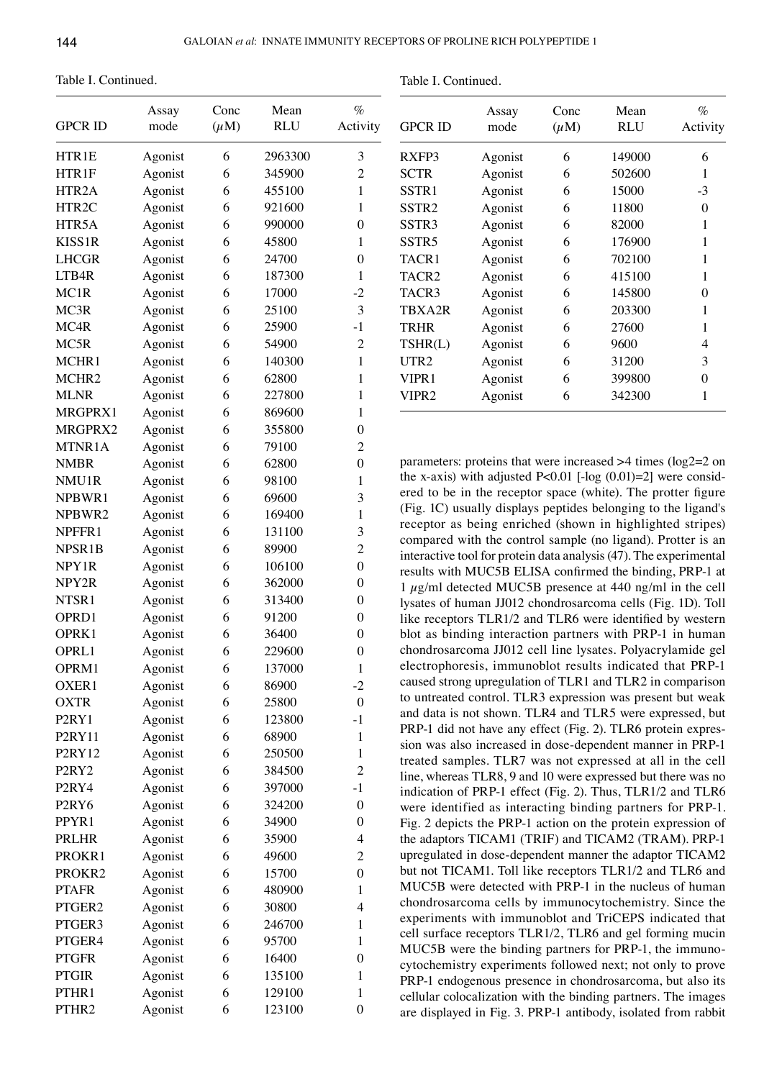Table I. Continued.

| <b>GPCR ID</b>                 | Assay<br>mode | Conc<br>$(\mu M)$ | Mean<br><b>RLU</b> | $\%$<br>Activity         |
|--------------------------------|---------------|-------------------|--------------------|--------------------------|
| HTR1E                          | Agonist       | 6                 | 2963300            | 3                        |
| HTR1F                          | Agonist       | 6                 | 345900             | $\overline{2}$           |
| HTR <sub>2</sub> A             | Agonist       | 6                 | 455100             | $\mathbf{1}$             |
| HTR2C                          | Agonist       | 6                 | 921600             | 1                        |
| HTR5A                          | Agonist       | 6                 | 990000             | $\boldsymbol{0}$         |
| KISS1R                         | Agonist       | 6                 | 45800              | 1                        |
| <b>LHCGR</b>                   | Agonist       | 6                 | 24700              | $\boldsymbol{0}$         |
| LTB4R                          | Agonist       | 6                 | 187300             | $\mathbf{1}$             |
| MC1R                           | Agonist       | 6                 | 17000              | $-2$                     |
| MC3R                           | Agonist       | 6                 | 25100              | 3                        |
| MC4R                           | Agonist       | 6                 | 25900              | $-1$                     |
| MC5R                           | Agonist       | 6                 | 54900              | $\overline{c}$           |
| MCHR1                          | Agonist       | 6                 | 140300             | 1                        |
| MCHR <sub>2</sub>              | Agonist       | 6                 | 62800              | 1                        |
| <b>MLNR</b>                    | Agonist       | 6                 | 227800             | $\mathbf{1}$             |
| MRGPRX1                        | Agonist       | 6                 | 869600             | 1                        |
| MRGPRX2                        | Agonist       | 6                 | 355800             | $\boldsymbol{0}$         |
| MTNR1A                         | Agonist       | 6                 | 79100              | $\overline{c}$           |
| <b>NMBR</b>                    | Agonist       | 6                 | 62800              | $\boldsymbol{0}$         |
| NMU1R                          | Agonist       | 6                 | 98100              | $\mathbf{1}$             |
| NPBWR1                         | Agonist       | 6                 | 69600              | 3                        |
| NPBWR2                         | Agonist       | 6                 | 169400             | 1                        |
| NPFFR1                         | Agonist       | 6                 | 131100             | 3                        |
| NPSR1B                         | Agonist       | 6                 | 89900              | $\overline{c}$           |
| NPY1R                          | Agonist       | 6                 | 106100             | $\boldsymbol{0}$         |
| NPY2R                          | Agonist       | 6                 | 362000             | $\boldsymbol{0}$         |
| NTSR1                          | Agonist       | 6                 | 313400             | $\boldsymbol{0}$         |
| OPR <sub>D1</sub>              | Agonist       | 6                 | 91200              | $\boldsymbol{0}$         |
| OPRK1                          | Agonist       | 6                 | 36400              | $\boldsymbol{0}$         |
| OPRL1                          | Agonist       | 6                 | 229600             | $\boldsymbol{0}$         |
| OPRM1                          | Agonist       | 6                 | 137000             | 1                        |
| OXER1                          | Agonist       | 6                 | 86900              | $\cdot$                  |
| <b>OXTR</b>                    | Agonist       | 6                 | 25800              | $\boldsymbol{0}$         |
| P <sub>2</sub> RY <sub>1</sub> | Agonist       | 6                 | 123800             | $-1$                     |
| P2RY11                         | Agonist       | 6                 | 68900              | $\mathbf{1}$             |
| P2RY12                         | Agonist       | 6                 | 250500             | $\mathbf{1}$             |
| P <sub>2</sub> RY <sub>2</sub> | Agonist       | 6                 | 384500             | $\overline{2}$           |
| P <sub>2</sub> RY <sub>4</sub> | Agonist       | 6                 | 397000             | $-1$                     |
| P <sub>2RY6</sub>              | Agonist       | 6                 | 324200             | $\boldsymbol{0}$         |
| PPYR1                          | Agonist       | 6                 | 34900              | $\boldsymbol{0}$         |
| <b>PRLHR</b>                   | Agonist       | 6                 | 35900              | 4                        |
| PROKR1                         | Agonist       | 6                 | 49600              | $\overline{c}$           |
| PROKR2                         | Agonist       | 6                 | 15700              | $\boldsymbol{0}$         |
| <b>PTAFR</b>                   | Agonist       | 6                 | 480900             | $\mathbf{1}$             |
| PTGER2                         | Agonist       | 6                 | 30800              | $\overline{\mathcal{L}}$ |
| PTGER3                         | Agonist       | 6                 | 246700             | $\mathbf{1}$             |
| PTGER4                         | Agonist       | 6                 | 95700              | $\mathbf{1}$             |
| <b>PTGFR</b>                   | Agonist       | 6                 | 16400              | $\boldsymbol{0}$         |
| <b>PTGIR</b>                   | Agonist       | 6                 | 135100             | 1                        |
| PTHR1                          | Agonist       | 6                 | 129100             | $\mathbf{1}$             |
| PTHR2                          | Agonist       | 6                 | 123100             | $\boldsymbol{0}$         |

| <b>GPCR ID</b>    | Assay<br>mode | Conc<br>$(\mu M)$ | Mean<br>RLU | %<br>Activity |
|-------------------|---------------|-------------------|-------------|---------------|
| RXFP3             | Agonist       | 6                 | 149000      | 6             |
| <b>SCTR</b>       | Agonist       | 6                 | 502600      | 1             |
| SSTR <sub>1</sub> | Agonist       | 6                 | 15000       | $-3$          |
| SSTR <sub>2</sub> | Agonist       | 6                 | 11800       | 0             |
| SSTR3             | Agonist       | 6                 | 82000       | 1             |
| SSTR <sub>5</sub> | Agonist       | 6                 | 176900      | 1             |
| TACR1             | Agonist       | 6                 | 702100      | 1             |
| TACR2             | Agonist       | 6                 | 415100      | 1             |
| TACR3             | Agonist       | 6                 | 145800      | 0             |
| TRXA2R            | Agonist       | 6                 | 203300      | 1             |
| TRHR              | Agonist       | 6                 | 27600       | 1             |
| TSHR(L)           | Agonist       | 6                 | 9600        | 4             |
| UTR <sub>2</sub>  | Agonist       | 6                 | 31200       | 3             |
| VIPR1             | Agonist       | 6                 | 399800      | 0             |
| VIPR2             | Agonist       | 6                 | 342300      | 1             |

parameters: proteins that were increased >4 times (log2=2 on the x-axis) with adjusted P<0.01 [- $log(0.01)$ =2] were considered to be in the receptor space (white). The protter figure (Fig. 1C) usually displays peptides belonging to the ligand's receptor as being enriched (shown in highlighted stripes) compared with the control sample (no ligand). Protter is an interactive tool for protein data analysis (47). The experimental results with MUC5B ELISA confirmed the binding, PRP-1 at 1  $\mu$ g/ml detected MUC5B presence at 440 ng/ml in the cell lysates of human JJ012 chondrosarcoma cells (Fig. 1D). Toll like receptors TLR1/2 and TLR6 were identified by western blot as binding interaction partners with PRP-1 in human chondrosarcoma JJ012 cell line lysates. Polyacrylamide gel electrophoresis, immunoblot results indicated that PRP-1 caused strong upregulation of TLR1 and TLR2 in comparison to untreated control. TLR3 expression was present but weak and data is not shown. TLR4 and TLR5 were expressed, but PRP-1 did not have any effect (Fig. 2). TLR6 protein expression was also increased in dose-dependent manner in PRP-1 treated samples. TLR7 was not expressed at all in the cell line, whereas TLR8, 9 and 10 were expressed but there was no indication of PRP-1 effect (Fig. 2). Thus, TLR1/2 and TLR6 were identified as interacting binding partners for PRP-1. Fig. 2 depicts the PRP-1 action on the protein expression of the adaptors TICAM1 (TRIF) and TICAM2 (TRAM). PRP-1 upregulated in dose-dependent manner the adaptor TICAM2 but not TICAM1. Toll like receptors TLR1/2 and TLR6 and MUC5B were detected with PRP-1 in the nucleus of human chondrosarcoma cells by immunocytochemistry. Since the experiments with immunoblot and TriCEPS indicated that cell surface receptors TLR1/2, TLR6 and gel forming mucin MUC5B were the binding partners for PRP-1, the immunocytochemistry experiments followed next; not only to prove PRP-1 endogenous presence in chondrosarcoma, but also its cellular colocalization with the binding partners. The images are displayed in fig. 3. PRP-1 antibody, isolated from rabbit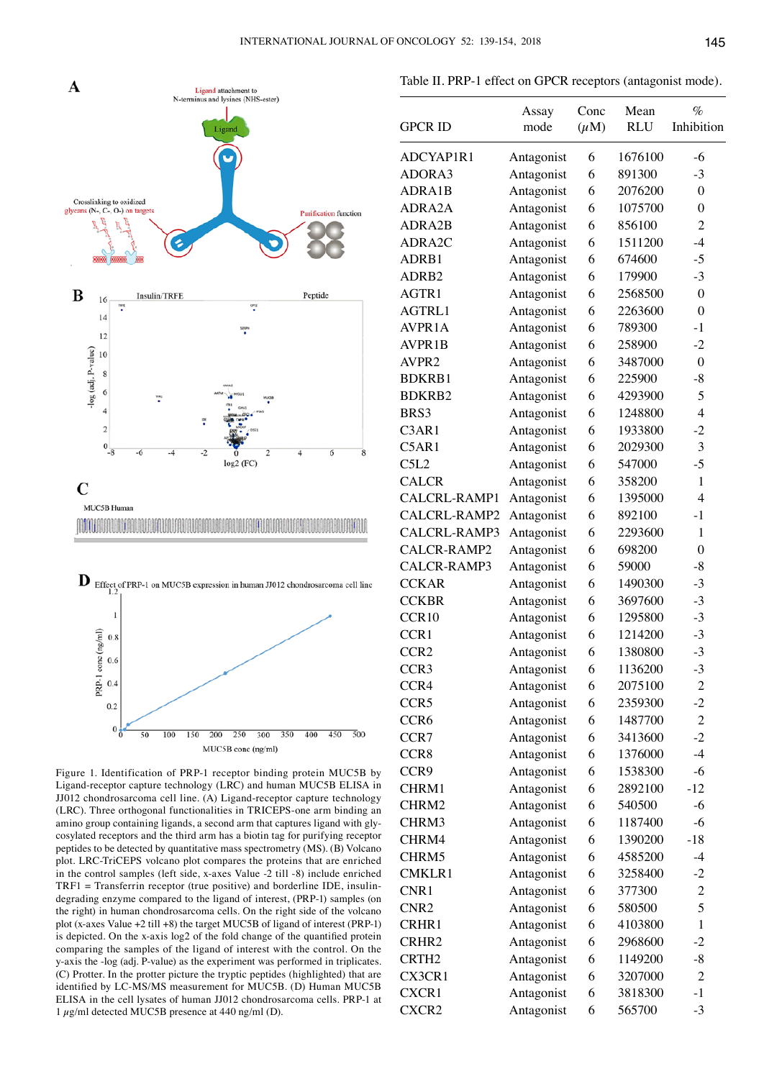



Figure 1. Identification of PRP-1 receptor binding protein MUC5B by Ligand-receptor capture technology (LRC) and human MUC5B ELISA in JJ012 chondrosarcoma cell line. (A) Ligand-receptor capture technology (LRC). Three orthogonal functionalities in TRICEPS-one arm binding an amino group containing ligands, a second arm that captures ligand with glycosylated receptors and the third arm has a biotin tag for purifying receptor peptides to be detected by quantitative mass spectrometry (MS). (B) Volcano plot. LRC-TriCEPS volcano plot compares the proteins that are enriched in the control samples (left side, x-axes Value -2 till -8) include enriched TRF1 = Transferrin receptor (true positive) and borderline IDE, insulindegrading enzyme compared to the ligand of interest, (PRP-1) samples (on the right) in human chondrosarcoma cells. On the right side of the volcano plot (x-axes Value +2 till +8) the target MUC5B of ligand of interest (PRP-1) is depicted. On the x-axis log2 of the fold change of the quantified protein comparing the samples of the ligand of interest with the control. On the y-axis the -log (adj. P-value) as the experiment was performed in triplicates. (C) Protter. In the protter picture the tryptic peptides (highlighted) that are identified by LC-MS/MS measurement for MUC5B. (D) Human MUC5B ELISA in the cell lysates of human JJ012 chondrosarcoma cells. PRP-1 at 1  $\mu$ g/ml detected MUC5B presence at 440 ng/ml (D).

|                   | Assay      | Conc      | Mean       | $\%$             |
|-------------------|------------|-----------|------------|------------------|
| <b>GPCR ID</b>    | mode       | $(\mu M)$ | <b>RLU</b> | Inhibition       |
| ADCYAP1R1         | Antagonist | 6         | 1676100    | -6               |
| ADORA3            | Antagonist | 6         | 891300     | $-3$             |
| ADRA1B            | Antagonist | 6         | 2076200    | $\boldsymbol{0}$ |
| ADRA2A            | Antagonist | 6         | 1075700    | $\boldsymbol{0}$ |
| ADRA2B            | Antagonist | 6         | 856100     | $\overline{2}$   |
| ADRA2C            | Antagonist | 6         | 1511200    | $-4$             |
| ADRB1             | Antagonist | 6         | 674600     | $-5$             |
| ADRB2             | Antagonist | 6         | 179900     | $-3$             |
| AGTR1             | Antagonist | 6         | 2568500    | $\mathbf{0}$     |
| AGTRL1            | Antagonist | 6         | 2263600    | $\boldsymbol{0}$ |
| AVPR1A            | Antagonist | 6         | 789300     | $-1$             |
| AVPR1B            | Antagonist | 6         | 258900     | $-2$             |
| AVPR2             | Antagonist | 6         | 3487000    | $\boldsymbol{0}$ |
| <b>BDKRB1</b>     | Antagonist | 6         | 225900     | -8               |
| <b>BDKRB2</b>     | Antagonist | 6         | 4293900    | 5                |
| BRS3              | Antagonist | 6         | 1248800    | $\overline{4}$   |
| C3AR1             | Antagonist | 6         | 1933800    | $-2$             |
| C5AR1             | Antagonist | 6         | 2029300    | 3                |
| C5L2              | Antagonist | 6         | 547000     | $-5$             |
| <b>CALCR</b>      | Antagonist | 6         | 358200     | 1                |
| CALCRL-RAMP1      | Antagonist | 6         | 1395000    | $\overline{4}$   |
| CALCRL-RAMP2      | Antagonist | 6         | 892100     | $-1$             |
| CALCRL-RAMP3      | Antagonist | 6         | 2293600    | 1                |
| CALCR-RAMP2       | Antagonist | 6         | 698200     | $\mathbf{0}$     |
| CALCR-RAMP3       | Antagonist | 6         | 59000      | $-8$             |
| <b>CCKAR</b>      | Antagonist | 6         | 1490300    | $-3$             |
| <b>CCKBR</b>      | Antagonist | 6         | 3697600    | $-3$             |
| CCR10             | Antagonist | 6         | 1295800    | $-3$             |
| CCR1              | Antagonist | 6         | 1214200    | $-3$             |
| CCR <sub>2</sub>  | Antagonist | 6         | 1380800    | $-3$             |
| CCR <sub>3</sub>  | Antagonist | 6         | 1136200    | $-3$             |
| CCR4              | Antagonist | 6         | 2075100    | $\overline{2}$   |
| CCR <sub>5</sub>  | Antagonist | 6         | 2359300    | $-2$             |
| CCR <sub>6</sub>  | Antagonist | 6         | 1487700    | $\overline{c}$   |
| CCR7              | Antagonist | 6         | 3413600    | $-2$             |
| CCR8              | Antagonist | 6         | 1376000    | $-4$             |
| CCR9              | Antagonist | 6         | 1538300    | $-6$             |
| CHRM1             | Antagonist | 6         | 2892100    | $-12$            |
| CHRM2             | Antagonist | 6         | 540500     | $-6$             |
| CHRM3             | Antagonist | 6         | 1187400    | $-6$             |
| CHRM4             | Antagonist | 6         | 1390200    | $-18$            |
| CHRM5             | Antagonist | 6         | 4585200    | $-4$             |
| <b>CMKLR1</b>     | Antagonist | 6         | 3258400    | $-2$             |
| CNR1              | Antagonist | 6         | 377300     | $\overline{c}$   |
| CNR <sub>2</sub>  | Antagonist | 6         | 580500     | 5                |
| CRHR1             | Antagonist | 6         | 4103800    | 1                |
| CRHR2             | Antagonist | 6         | 2968600    | $-2$             |
| CRTH <sub>2</sub> | Antagonist | 6         | 1149200    | $-8$             |
| CX3CR1            | Antagonist | 6         | 3207000    | $\overline{2}$   |
| CXCR1             | Antagonist | 6         | 3818300    | $-1$             |
| CXCR2             | Antagonist | 6         | 565700     | $-3$             |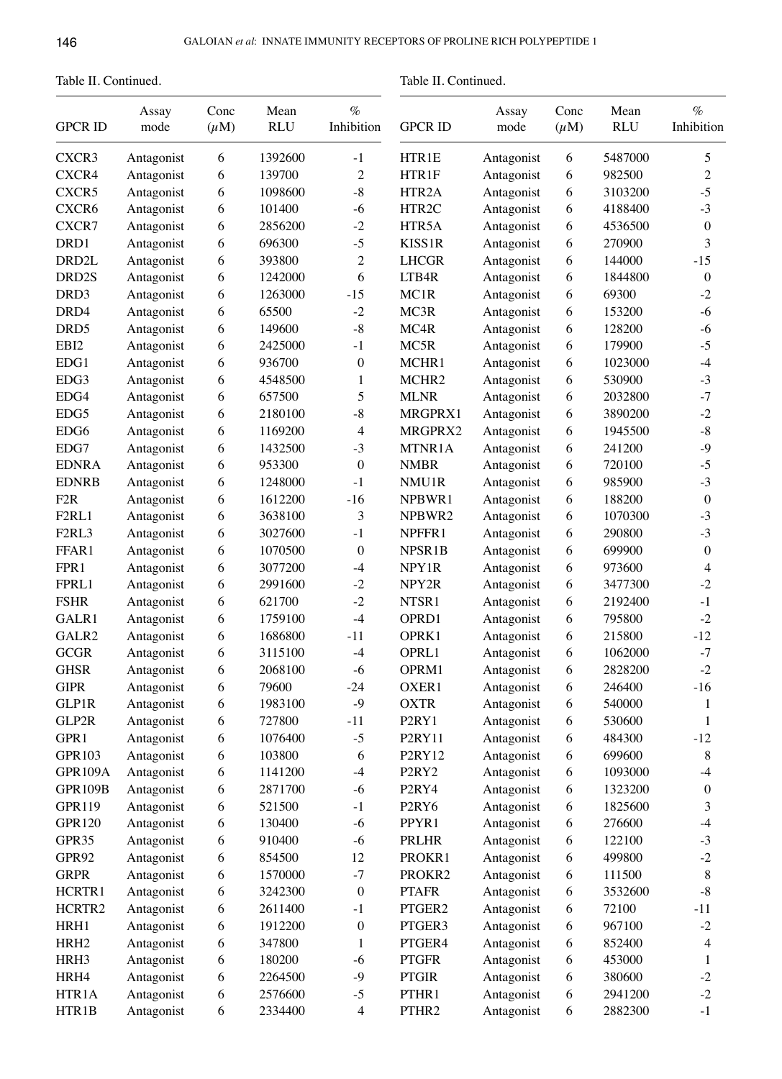Table II. Continued.

Table II. Continued.

| <b>GPCR ID</b>     | Assay<br>mode | Conc<br>$(\mu M)$ | Mean<br><b>RLU</b> | $\%$<br>Inhibition | <b>GPCR ID</b>                 | Assay<br>mode | Conc<br>$(\mu M)$ | Mean<br><b>RLU</b> | $\%$<br>Inhibition |
|--------------------|---------------|-------------------|--------------------|--------------------|--------------------------------|---------------|-------------------|--------------------|--------------------|
| CXCR <sub>3</sub>  | Antagonist    | 6                 | 1392600            | $-1$               | HTR1E                          | Antagonist    | 6                 | 5487000            | 5                  |
| CXCR4              | Antagonist    | 6                 | 139700             | $\overline{c}$     | HTR1F                          | Antagonist    | 6                 | 982500             | $\mathfrak{2}$     |
| CXCR5              | Antagonist    | 6                 | 1098600            | $-8$               | HTR <sub>2</sub> A             | Antagonist    | 6                 | 3103200            | $-5$               |
| CXCR <sub>6</sub>  | Antagonist    | 6                 | 101400             | $-6$               | HTR2C                          | Antagonist    | 6                 | 4188400            | $-3$               |
| CXCR7              | Antagonist    | 6                 | 2856200            | $-2$               | HTR5A                          | Antagonist    | 6                 | 4536500            | $\mathbf{0}$       |
| DRD1               | Antagonist    | 6                 | 696300             | $-5$               | KISS1R                         | Antagonist    | 6                 | 270900             | 3                  |
| DRD <sub>2</sub> L | Antagonist    | 6                 | 393800             | $\overline{c}$     | <b>LHCGR</b>                   | Antagonist    | 6                 | 144000             | $-15$              |
| DRD2S              | Antagonist    | 6                 | 1242000            | 6                  | LTB4R                          | Antagonist    | 6                 | 1844800            | $\boldsymbol{0}$   |
| DRD3               | Antagonist    | 6                 | 1263000            | $-15$              | MC1R                           | Antagonist    | 6                 | 69300              | $-2$               |
| DRD4               | Antagonist    | 6                 | 65500              | $-2$               | MC3R                           | Antagonist    | 6                 | 153200             | $-6$               |
| DRD <sub>5</sub>   | Antagonist    | 6                 | 149600             | $\textbf{-8}$      | MC4R                           | Antagonist    | 6                 | 128200             | $-6$               |
| EBI2               | Antagonist    | 6                 | 2425000            | $-1$               | MC5R                           | Antagonist    | 6                 | 179900             | $-5$               |
| EDG1               | Antagonist    | 6                 | 936700             | $\boldsymbol{0}$   | MCHR1                          | Antagonist    | 6                 | 1023000            | $-4$               |
| EDG3               | Antagonist    | 6                 | 4548500            | $\mathbf{1}$       | MCHR <sub>2</sub>              | Antagonist    | 6                 | 530900             | $-3$               |
| EDG4               | Antagonist    | 6                 | 657500             | 5                  | <b>MLNR</b>                    | Antagonist    | 6                 | 2032800            | $-7$               |
| EDG5               |               | 6                 | 2180100            | $-8$               | MRGPRX1                        | Antagonist    | 6                 | 3890200            | $-2$               |
|                    | Antagonist    |                   |                    |                    |                                |               |                   |                    | $-8$               |
| EDG <sub>6</sub>   | Antagonist    | 6                 | 1169200            | 4                  | MRGPRX2                        | Antagonist    | 6                 | 1945500            |                    |
| EDG7               | Antagonist    | 6                 | 1432500            | $-3$               | MTNR1A                         | Antagonist    | 6                 | 241200             | $-9$               |
| <b>EDNRA</b>       | Antagonist    | 6                 | 953300             | $\boldsymbol{0}$   | <b>NMBR</b>                    | Antagonist    | 6                 | 720100             | $-5$               |
| <b>EDNRB</b>       | Antagonist    | 6                 | 1248000            | $-1$               | NMU1R                          | Antagonist    | 6                 | 985900             | $-3$               |
| F <sub>2</sub> R   | Antagonist    | 6                 | 1612200            | $-16$              | NPBWR1                         | Antagonist    | 6                 | 188200             | $\boldsymbol{0}$   |
| F <sub>2RL1</sub>  | Antagonist    | 6                 | 3638100            | 3                  | NPBWR2                         | Antagonist    | 6                 | 1070300            | $-3$               |
| F <sub>2RL3</sub>  | Antagonist    | 6                 | 3027600            | $-1$               | NPFFR1                         | Antagonist    | 6                 | 290800             | $-3$               |
| FFAR1              | Antagonist    | 6                 | 1070500            | $\boldsymbol{0}$   | NPSR1B                         | Antagonist    | 6                 | 699900             | $\boldsymbol{0}$   |
| FPR1               | Antagonist    | 6                 | 3077200            | $-4$               | NPY1R                          | Antagonist    | 6                 | 973600             | 4                  |
| FPRL1              | Antagonist    | 6                 | 2991600            | $-2$               | NPY2R                          | Antagonist    | 6                 | 3477300            | $-2$               |
| <b>FSHR</b>        | Antagonist    | 6                 | 621700             | $-2$               | NTSR1                          | Antagonist    | 6                 | 2192400            | $-1$               |
| GALR1              | Antagonist    | 6                 | 1759100            | $-4$               | OPRD1                          | Antagonist    | 6                 | 795800             | $-2$               |
| GALR2              | Antagonist    | 6                 | 1686800            | $-11$              | OPRK1                          | Antagonist    | 6                 | 215800             | $-12$              |
| <b>GCGR</b>        | Antagonist    | 6                 | 3115100            | $-4$               | OPRL1                          | Antagonist    | 6                 | 1062000            | $-7$               |
| <b>GHSR</b>        | Antagonist    | 6                 | 2068100            | $-6$               | OPRM1                          | Antagonist    | 6                 | 2828200            | $-2$               |
| <b>GIPR</b>        | Antagonist    | 6                 | 79600              | 24                 | OXER1                          | Antagonist    | 6                 | 246400             | 16                 |
| <b>GLP1R</b>       | Antagonist    | 6                 | 1983100            | $-9$               | <b>OXTR</b>                    | Antagonist    | 6                 | 540000             | 1                  |
| GLP2R              | Antagonist    | 6                 | 727800             | $-11$              | P <sub>2</sub> RY <sub>1</sub> | Antagonist    | 6                 | 530600             | 1                  |
| GPR1               | Antagonist    | 6                 | 1076400            | $-5$               | P2RY11                         | Antagonist    | 6                 | 484300             | $-12$              |
| <b>GPR103</b>      | Antagonist    | 6                 | 103800             | 6                  | P2RY12                         | Antagonist    | 6                 | 699600             | 8                  |
| GPR109A            | Antagonist    | 6                 | 1141200            | $-4$               | P <sub>2</sub> RY <sub>2</sub> | Antagonist    | 6                 | 1093000            | $-4$               |
| <b>GPR109B</b>     | Antagonist    | 6                 | 2871700            | $-6$               | P <sub>2</sub> RY <sub>4</sub> | Antagonist    | 6                 | 1323200            | $\boldsymbol{0}$   |
| <b>GPR119</b>      | Antagonist    | 6                 | 521500             | $^{\rm -1}$        | P <sub>2</sub> RY <sub>6</sub> | Antagonist    | 6                 | 1825600            | 3                  |
| <b>GPR120</b>      | Antagonist    | 6                 | 130400             | $-6$               | PPYR1                          | Antagonist    | 6                 | 276600             | $-4$               |
| GPR35              | Antagonist    | 6                 | 910400             | $-6$               | PRLHR                          | Antagonist    | 6                 | 122100             | $-3$               |
| GPR92              | Antagonist    | 6                 | 854500             | 12                 | PROKR1                         | Antagonist    | 6                 | 499800             | $-2$               |
| <b>GRPR</b>        | Antagonist    | 6                 | 1570000            | $-7$               | PROKR2                         | Antagonist    | 6                 | 111500             | 8                  |
| HCRTR1             | Antagonist    | 6                 | 3242300            | $\boldsymbol{0}$   | <b>PTAFR</b>                   | Antagonist    | 6                 | 3532600            | $\textbf{-8}$      |
| HCRTR2             | Antagonist    | 6                 | 2611400            | $^{\rm -1}$        | PTGER2                         | Antagonist    | 6                 | 72100              | $-11$              |
| HRH1               | Antagonist    | 6                 | 1912200            | $\boldsymbol{0}$   | PTGER3                         | Antagonist    | 6                 | 967100             | $-2$               |
| HRH <sub>2</sub>   | Antagonist    | 6                 | 347800             | $\mathbf{1}$       | PTGER4                         | Antagonist    | 6                 | 852400             | 4                  |
| HRH3               | Antagonist    | 6                 | 180200             | $-6$               | <b>PTGFR</b>                   | Antagonist    | 6                 | 453000             | 1                  |
| HRH4               | Antagonist    | 6                 | 2264500            | $-9$               | <b>PTGIR</b>                   | Antagonist    | 6                 | 380600             | $-2$               |
| HTR1A              | Antagonist    | 6                 | 2576600            | $-5$               | PTHR1                          | Antagonist    | 6                 | 2941200            | $-2$               |
| HTR1B              | Antagonist    | 6                 | 2334400            | 4                  | PTHR2                          | Antagonist    | 6                 | 2882300            | $^{\rm -1}$        |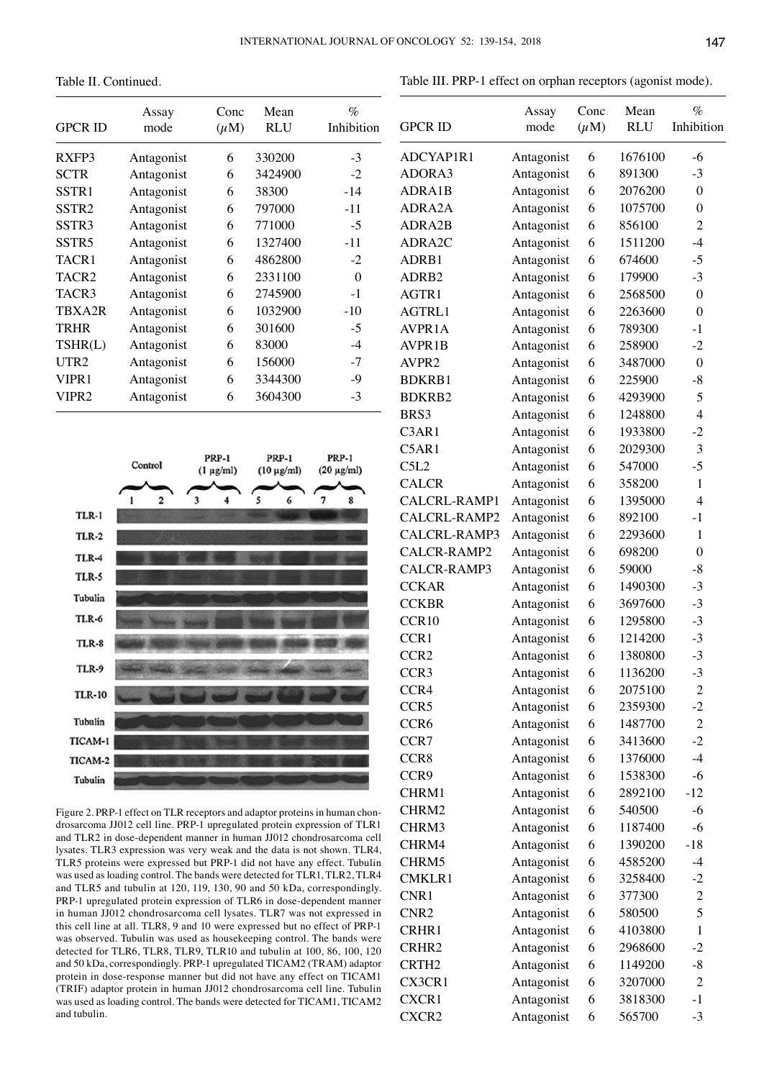Table II. Continued.

| <b>GPCR ID</b>    | Assay<br>mode | Conc<br>$(\mu M)$ | Mean<br>RLU | $\%$<br>Inhibition |  |
|-------------------|---------------|-------------------|-------------|--------------------|--|
| RXFP3             | Antagonist    | 6                 | 330200      | $-3$               |  |
| <b>SCTR</b>       | Antagonist    | 6                 | 3424900     | $-2$               |  |
| SSTR1             | Antagonist    | 6                 | 38300       | $-14$              |  |
| SSTR <sub>2</sub> | Antagonist    | 6                 | 797000      | $-11$              |  |
| SSTR <sub>3</sub> | Antagonist    | 6                 | 771000      | $-5$               |  |
| SSTR <sub>5</sub> | Antagonist    | 6                 | 1327400     | $-11$              |  |
| TACR1             | Antagonist    | 6                 | 4862800     | $-2$               |  |
| TACR2             | Antagonist    | 6                 | 2331100     | 0                  |  |
| TACR3             | Antagonist    | 6                 | 2745900     | $-1$               |  |
| TBXA2R            | Antagonist    | 6                 | 1032900     | $-10$              |  |
| <b>TRHR</b>       | Antagonist    | 6                 | 301600      | $-5$               |  |
| TSHR(L)           | Antagonist    | 6                 | 83000       | $-4$               |  |
| UTR <sub>2</sub>  | Antagonist    | 6                 | 156000      | $-7$               |  |
| VIPR <sub>1</sub> | Antagonist    | 6                 | 3344300     | $-9$               |  |
| VIPR2             | Antagonist    | 6                 | 3604300     | $-3$               |  |



Figure 2. PRP-1 effect on TLR receptors and adaptor proteins in human chondrosarcoma JJ012 cell line. PRP-1 upregulated protein expression of TLR1 and TLR2 in dose-dependent manner in human JJ012 chondrosarcoma cell lysates. TLR3 expression was very weak and the data is not shown. TLR4, TLR5 proteins were expressed but PRP-1 did not have any effect. Tubulin was used as loading control. The bands were detected for TLR1, TLR2, TLR4 and TLR5 and tubulin at 120, 119, 130, 90 and 50 kDa, correspondingly. PRP-1 upregulated protein expression of TLR6 in dose-dependent manner in human JJ012 chondrosarcoma cell lysates. TLR7 was not expressed in this cell line at all. TLR8, 9 and 10 were expressed but no effect of PRP-1 was observed. Tubulin was used as housekeeping control. The bands were detected for TLR6, TLR8, TLR9, TLR10 and tubulin at 100, 86, 100, 120 and 50 kDa, correspondingly. PRP-1 upregulated TICAM2 (TRAM) adaptor protein in dose-response manner but did not have any effect on TICAM1 (TRIF) adaptor protein in human JJ012 chondrosarcoma cell line. Tubulin was used as loading control. The bands were detected for TICAM1, TICAM2 and tubulin.

|                            | Assay                    | Conc      | Mean       | %                |
|----------------------------|--------------------------|-----------|------------|------------------|
| <b>GPCR ID</b>             | mode                     | $(\mu M)$ | <b>RLU</b> | Inhibition       |
| ADCYAP1R1                  | Antagonist               | 6         | 1676100    | $-6$             |
| ADORA3                     | Antagonist               | 6         | 891300     | $-3$             |
| ADRA1B                     | Antagonist               | 6         | 2076200    | $\boldsymbol{0}$ |
| ADRA2A                     | Antagonist               | 6         | 1075700    | $\boldsymbol{0}$ |
| ADRA2B                     | Antagonist               | 6         | 856100     | $\overline{2}$   |
| ADRA2C                     | Antagonist               | 6         | 1511200    | $-4$             |
| ADRB1                      | Antagonist               | 6         | 674600     | $-5$             |
| ADRB2                      | Antagonist               | 6         | 179900     | $-3$             |
| AGTR1                      | Antagonist               | 6         | 2568500    | $\boldsymbol{0}$ |
| AGTRL1                     | Antagonist               | 6         | 2263600    | $\boldsymbol{0}$ |
| AVPR1A                     | Antagonist               | 6         | 789300     | $-1$             |
| <b>AVPR1B</b>              | Antagonist               | 6         | 258900     | $-2$             |
| AVPR <sub>2</sub>          | Antagonist               | 6         | 3487000    | $\boldsymbol{0}$ |
| <b>BDKRB1</b>              | Antagonist               | 6         | 225900     | $-8$             |
| <b>BDKRB2</b>              | Antagonist               | 6         | 4293900    | 5                |
| BRS3                       | Antagonist               | 6         | 1248800    | $\overline{4}$   |
| C3AR1                      | Antagonist               | 6         | 1933800    | $-2$             |
| C5AR1                      | Antagonist               | 6         | 2029300    | 3                |
| C5L2                       | Antagonist               | 6         | 547000     | $-5$             |
| <b>CALCR</b>               | Antagonist               | 6         | 358200     | 1                |
| CALCRL-RAMP1               | Antagonist               | 6         | 1395000    | $\overline{4}$   |
| CALCRL-RAMP2               | Antagonist               | 6         | 892100     | $-1$             |
| CALCRL-RAMP3               | Antagonist               | 6         | 2293600    | 1                |
| CALCR-RAMP2                | Antagonist               | 6         | 698200     | $\boldsymbol{0}$ |
| CALCR-RAMP3                | Antagonist               | 6         | 59000      | $-8$             |
| <b>CCKAR</b>               | Antagonist               | 6         | 1490300    | $-3$             |
| <b>CCKBR</b>               | Antagonist               | 6         | 3697600    | $-3$             |
| CCR10                      | Antagonist               | 6         | 1295800    | $-3$             |
| CCR1                       | Antagonist               | 6         | 1214200    | $-3$             |
| CCR <sub>2</sub>           | Antagonist               | 6         | 1380800    | $-3$             |
| CCR <sub>3</sub>           | Antagonist               | 6         | 1136200    | $-3$             |
| CCR4                       | Antagonist               | 6         | 2075100    | $\overline{c}$   |
| CCR5                       | Antagonist               | 6         | 2359300    | $-2$             |
| CCR <sub>6</sub>           | Antagonist               | 6         | 1487700    | $\overline{2}$   |
| CCR7                       | Antagonist               | 6         | 3413600    | $-2$             |
| CCR8                       | Antagonist               | 6         | 1376000    | $-4$             |
| CCR9                       | Antagonist               | 6         | 1538300    | $-6$             |
| CHRM1                      | Antagonist               | 6         | 2892100    | $-12$            |
| CHRM2                      | Antagonist               | 6         | 540500     | $-6$             |
| CHRM3                      | Antagonist               | 6         | 1187400    | $-6$             |
| CHRM4                      |                          | 6         | 1390200    | $-18$            |
| CHRM5                      | Antagonist<br>Antagonist | 6         | 4585200    | $-4$             |
| <b>CMKLR1</b>              | Antagonist               | 6         | 3258400    | $-2$             |
| CNR1                       |                          | 6         | 377300     | $\overline{c}$   |
| CNR <sub>2</sub>           | Antagonist               | 6         | 580500     | 5                |
| CRHR1                      | Antagonist               | 6         | 4103800    | $\mathbf{1}$     |
|                            | Antagonist               |           |            |                  |
| CRHR2<br>CRTH <sub>2</sub> | Antagonist               | 6<br>6    | 2968600    | $-2$<br>$-8$     |
|                            | Antagonist               |           | 1149200    |                  |
| CX3CR1                     | Antagonist               | 6         | 3207000    | $\mathfrak{2}$   |
| CXCR1                      | Antagonist               | 6         | 3818300    | $-1$             |
| CXCR2                      | Antagonist               | 6         | 565700     | $-3$             |

Table III. PRP-1 effect on orphan receptors (agonist mode).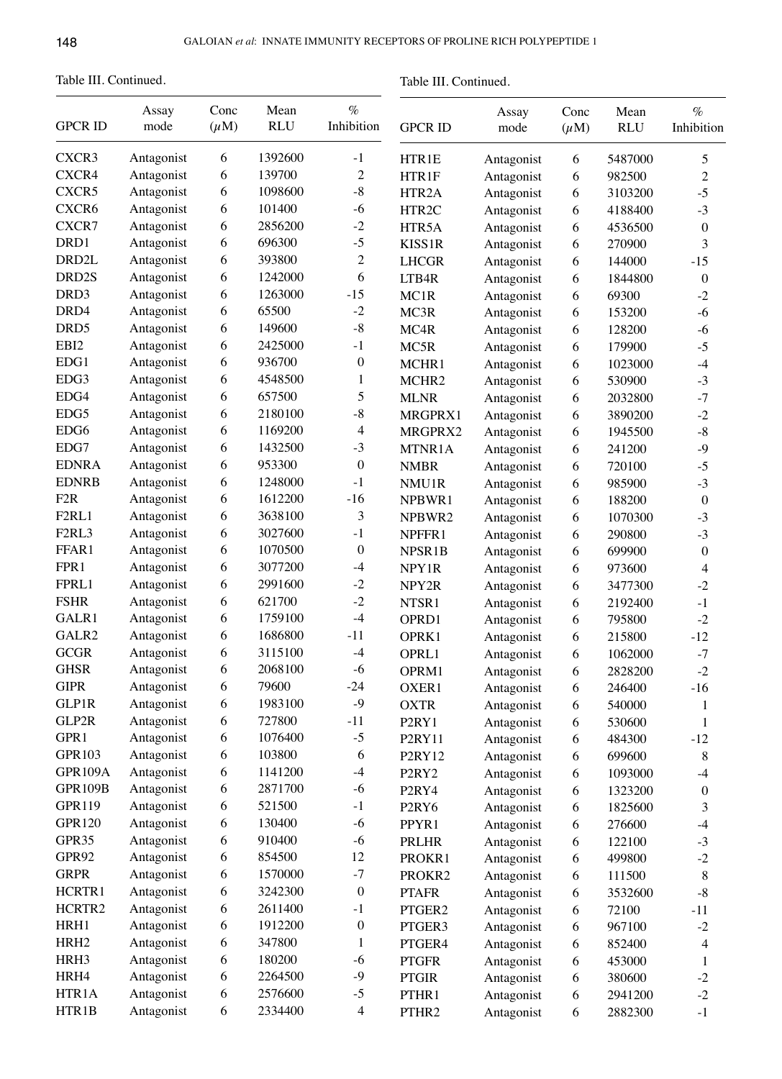Table III. Continued.

Table III. Continued.

| <b>GPCR ID</b>                 | Assay<br>mode | Conc<br>$(\mu M)$ | Mean<br><b>RLU</b> | $\%$<br>Inhibition | <b>GPCR ID</b>                 | Assay<br>mode | Conc<br>$(\mu M)$ | Mean<br><b>RLU</b> | $\%$<br>Inhibition |
|--------------------------------|---------------|-------------------|--------------------|--------------------|--------------------------------|---------------|-------------------|--------------------|--------------------|
| CXCR <sub>3</sub>              | Antagonist    | 6                 | 1392600            | $-1$               | HTR1E                          | Antagonist    | 6                 | 5487000            | 5                  |
| CXCR4                          | Antagonist    | 6                 | 139700             | $\overline{c}$     | HTR1F                          | Antagonist    | 6                 | 982500             | $\sqrt{2}$         |
| CXCR5                          | Antagonist    | 6                 | 1098600            | $-8$               | HTR2A                          | Antagonist    | 6                 | 3103200            | $-5$               |
| CXCR6                          | Antagonist    | 6                 | 101400             | $-6$               | HTR2C                          | Antagonist    | 6                 | 4188400            | $-3$               |
| CXCR7                          | Antagonist    | 6                 | 2856200            | $-2$               | HTR5A                          | Antagonist    | 6                 | 4536500            | $\boldsymbol{0}$   |
| DRD1                           | Antagonist    | 6                 | 696300             | $-5$               | KISS1R                         | Antagonist    | 6                 | 270900             | 3                  |
| DRD <sub>2</sub> L             | Antagonist    | 6                 | 393800             | $\overline{c}$     | <b>LHCGR</b>                   | Antagonist    | 6                 | 144000             | $-15$              |
| DRD2S                          | Antagonist    | 6                 | 1242000            | 6                  | LTB4R                          | Antagonist    | 6                 | 1844800            | $\boldsymbol{0}$   |
| DRD3                           | Antagonist    | 6                 | 1263000            | $-15$              | MC1R                           | Antagonist    | 6                 | 69300              | $-2$               |
| DRD4                           | Antagonist    | 6                 | 65500              | $-2$               | MC3R                           | Antagonist    | 6                 | 153200             | $-6$               |
| DRD <sub>5</sub>               | Antagonist    | 6                 | 149600             | $\textbf{-8}$      | MC4R                           | Antagonist    | 6                 | 128200             | $-6$               |
| EBI2                           | Antagonist    | 6                 | 2425000            | $-1$               |                                |               |                   |                    | $-5$               |
| EDG1                           | Antagonist    | 6                 | 936700             | $\boldsymbol{0}$   | MC5R                           | Antagonist    | 6                 | 179900             |                    |
| EDG3                           | Antagonist    |                   | 4548500            |                    | MCHR1                          | Antagonist    | 6                 | 1023000            | $-4$               |
| EDG4                           |               | 6                 | 657500             | 1                  | MCHR <sub>2</sub>              | Antagonist    | 6                 | 530900             | $-3$               |
|                                | Antagonist    | 6                 |                    | 5                  | <b>MLNR</b>                    | Antagonist    | 6                 | 2032800            | $-7$               |
| EDG5                           | Antagonist    | 6                 | 2180100            | $-8$               | MRGPRX1                        | Antagonist    | 6                 | 3890200            | $-2$               |
| EDG6                           | Antagonist    | 6                 | 1169200            | $\overline{4}$     | MRGPRX2                        | Antagonist    | 6                 | 1945500            | $\text{-}8$        |
| EDG7                           | Antagonist    | 6                 | 1432500            | $-3$               | MTNR1A                         | Antagonist    | 6                 | 241200             | $-9$               |
| <b>EDNRA</b>                   | Antagonist    | 6                 | 953300             | $\boldsymbol{0}$   | <b>NMBR</b>                    | Antagonist    | 6                 | 720100             | $-5$               |
| <b>EDNRB</b>                   | Antagonist    | 6                 | 1248000            | $-1$               | NMU1R                          | Antagonist    | 6                 | 985900             | $-3$               |
| F <sub>2</sub> R               | Antagonist    | 6                 | 1612200            | $-16$              | NPBWR1                         | Antagonist    | 6                 | 188200             | $\boldsymbol{0}$   |
| F <sub>2</sub> RL <sub>1</sub> | Antagonist    | 6                 | 3638100            | 3                  | NPBWR2                         | Antagonist    | 6                 | 1070300            | $-3$               |
| F <sub>2</sub> RL <sub>3</sub> | Antagonist    | 6                 | 3027600            | $-1$               | NPFFR1                         | Antagonist    | 6                 | 290800             | $-3$               |
| FFAR1                          | Antagonist    | 6                 | 1070500            | $\boldsymbol{0}$   | NPSR1B                         | Antagonist    | 6                 | 699900             | $\boldsymbol{0}$   |
| FPR1                           | Antagonist    | 6                 | 3077200            | $-4$               | NPY1R                          | Antagonist    | 6                 | 973600             | 4                  |
| FPRL1                          | Antagonist    | 6                 | 2991600            | $-2$               | NPY2R                          | Antagonist    | 6                 | 3477300            | $-2$               |
| <b>FSHR</b>                    | Antagonist    | 6                 | 621700             | $-2$               | NTSR1                          | Antagonist    | 6                 | 2192400            | $-1$               |
| GALR1                          | Antagonist    | 6                 | 1759100            | $-4$               | OPRD1                          | Antagonist    | 6                 | 795800             | $-2$               |
| GALR2                          | Antagonist    | 6                 | 1686800            | $-11$              | OPRK1                          | Antagonist    | 6                 | 215800             | $-12$              |
| <b>GCGR</b>                    | Antagonist    | 6                 | 3115100            | $-4$               | OPRL1                          | Antagonist    | 6                 | 1062000            | $-7$               |
| <b>GHSR</b>                    | Antagonist    | 6                 | 2068100            | $-6$               | OPRM1                          | Antagonist    | 6                 | 2828200            | $-2$               |
| <b>GIPR</b>                    | Antagonist    | 6                 | 79600              | $-24$              | OXER1                          | Antagonist    | 6                 | 246400             | $-16$              |
| GLP1R                          | Antagonist    | 6                 | 1983100            | $-9$               | <b>OXTR</b>                    | Antagonist    | 6                 | 540000             | 1                  |
| GLP2R                          | Antagonist    | 6                 | 727800             | $-11$              | P <sub>2</sub> RY <sub>1</sub> | Antagonist    | 6                 | 530600             | 1                  |
| GPR1                           | Antagonist    | 6                 | 1076400            | $-5$               | P2RY11                         | Antagonist    | 6                 | 484300             | $-12$              |
| <b>GPR103</b>                  | Antagonist    | 6                 | 103800             | 6                  | P2RY12                         | Antagonist    | 6                 | 699600             | 8                  |
| GPR109A                        | Antagonist    | 6                 | 1141200            | $-4$               | P <sub>2</sub> RY <sub>2</sub> | Antagonist    | 6                 | 1093000            | $-4$               |
| <b>GPR109B</b>                 | Antagonist    | 6                 | 2871700            | $-6$               | P <sub>2</sub> RY <sub>4</sub> | Antagonist    | 6                 | 1323200            | $\boldsymbol{0}$   |
| <b>GPR119</b>                  | Antagonist    | 6                 | 521500             | $-1$               | P <sub>2</sub> RY <sub>6</sub> | Antagonist    | 6                 | 1825600            | 3                  |
| GPR120                         | Antagonist    | 6                 | 130400             | $-6$               | PPYR1                          | Antagonist    | 6                 | 276600             | $-4$               |
| GPR35                          | Antagonist    | 6                 | 910400             | $-6$               | PRLHR                          | Antagonist    | 6                 | 122100             | $-3$               |
| GPR92                          | Antagonist    | 6                 | 854500             | 12                 | PROKR1                         | Antagonist    | 6                 | 499800             | $-2$               |
| <b>GRPR</b>                    | Antagonist    | 6                 | 1570000            | $-7$               | PROKR2                         | Antagonist    | 6                 | 111500             | $\,$ 8 $\,$        |
| HCRTR1                         | Antagonist    | 6                 | 3242300            | $\boldsymbol{0}$   | <b>PTAFR</b>                   | Antagonist    | 6                 | 3532600            | $\text{-}8$        |
| HCRTR2                         | Antagonist    | 6                 | 2611400            | $-1$               | PTGER2                         | Antagonist    | 6                 | 72100              | $-11$              |
| HRH1                           | Antagonist    | 6                 | 1912200            | $\boldsymbol{0}$   | PTGER3                         | Antagonist    | 6                 | 967100             | $-2$               |
| HRH <sub>2</sub>               | Antagonist    | 6                 | 347800             | 1                  | PTGER4                         | Antagonist    | 6                 | 852400             | 4                  |
| HRH3                           | Antagonist    | 6                 | 180200             | $-6$               | <b>PTGFR</b>                   | Antagonist    | 6                 | 453000             | 1                  |
| HRH4                           | Antagonist    | 6                 | 2264500            | $-9$               | <b>PTGIR</b>                   | Antagonist    | 6                 | 380600             | $-2$               |
| HTR1A                          | Antagonist    | 6                 | 2576600            | $-5$               | PTHR1                          | Antagonist    | 6                 | 2941200            | $-2$               |
| HTR1B                          | Antagonist    | 6                 | 2334400            | $\overline{4}$     | PTHR2                          | Antagonist    | 6                 | 2882300            | $^{\rm -1}$        |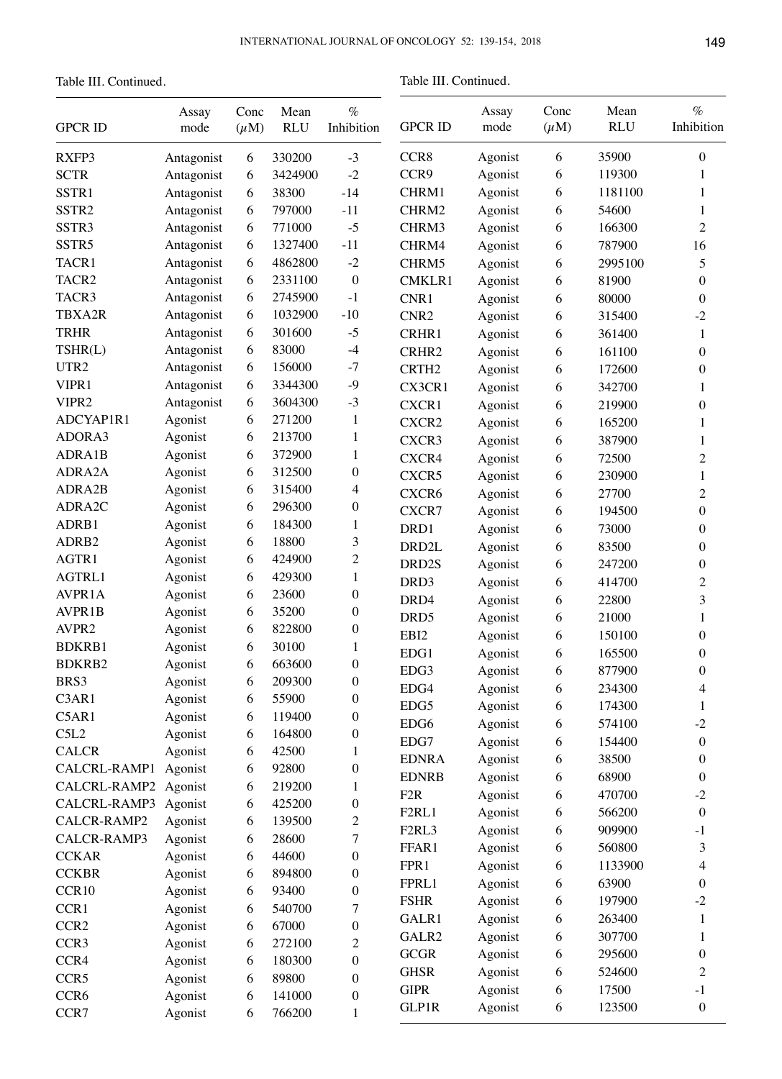Table III. Continued.

Table III. Continued.

| <b>GPCR ID</b>    | Assay<br>mode | Conc<br>$(\mu M)$ | Mean<br><b>RLU</b> | $\%$<br>Inhibition | <b>GPCR ID</b>                 | Assay<br>mode | Conc<br>$(\mu M)$ | Mean<br><b>RLU</b> | $\%$<br>Inhibition |
|-------------------|---------------|-------------------|--------------------|--------------------|--------------------------------|---------------|-------------------|--------------------|--------------------|
| RXFP3             | Antagonist    | 6                 | 330200             | $-3$               | CCR8                           | Agonist       | 6                 | 35900              | $\boldsymbol{0}$   |
| <b>SCTR</b>       | Antagonist    | 6                 | 3424900            | $-2$               | CCR9                           | Agonist       | 6                 | 119300             | 1                  |
| SSTR1             | Antagonist    | 6                 | 38300              | $-14$              | CHRM1                          | Agonist       | 6                 | 1181100            | 1                  |
| SSTR <sub>2</sub> | Antagonist    | 6                 | 797000             | $-11$              | CHRM2                          | Agonist       | 6                 | 54600              | 1                  |
| SSTR3             | Antagonist    | 6                 | 771000             | $-5$               | CHRM3                          | Agonist       | 6                 | 166300             | $\overline{c}$     |
| SSTR5             | Antagonist    | 6                 | 1327400            | $-11$              | CHRM4                          | Agonist       | 6                 | 787900             | 16                 |
| TACR1             | Antagonist    | 6                 | 4862800            | $-2$               | CHRM5                          | Agonist       | 6                 | 2995100            | 5                  |
| TACR2             | Antagonist    | 6                 | 2331100            | $\boldsymbol{0}$   | <b>CMKLR1</b>                  | Agonist       | 6                 | 81900              | $\boldsymbol{0}$   |
| TACR3             | Antagonist    | 6                 | 2745900            | $-1$               | CNR1                           |               |                   | 80000              | $\boldsymbol{0}$   |
| TBXA2R            | Antagonist    | 6                 | 1032900            | $-10$              |                                | Agonist       | 6                 | 315400             |                    |
| <b>TRHR</b>       |               |                   | 301600             | $-5$               | CNR <sub>2</sub>               | Agonist       | 6                 |                    | $-2$               |
|                   | Antagonist    | 6                 | 83000              |                    | CRHR1                          | Agonist       | 6                 | 361400             | 1                  |
| TSHR(L)           | Antagonist    | 6                 |                    | $-4$               | CRHR2                          | Agonist       | 6                 | 161100             | $\boldsymbol{0}$   |
| UTR2              | Antagonist    | 6                 | 156000             | $-7$               | CRTH <sub>2</sub>              | Agonist       | 6                 | 172600             | $\boldsymbol{0}$   |
| VIPR1             | Antagonist    | 6                 | 3344300            | $-9$               | CX3CR1                         | Agonist       | 6                 | 342700             | 1                  |
| VIPR2             | Antagonist    | 6                 | 3604300            | $-3$               | CXCR1                          | Agonist       | 6                 | 219900             | $\boldsymbol{0}$   |
| ADCYAP1R1         | Agonist       | 6                 | 271200             | $\mathbf{1}$       | CXCR2                          | Agonist       | 6                 | 165200             | 1                  |
| ADORA3            | Agonist       | 6                 | 213700             | $\mathbf{1}$       | CXCR3                          | Agonist       | 6                 | 387900             | 1                  |
| ADRA1B            | Agonist       | 6                 | 372900             | $\mathbf{1}$       | CXCR4                          | Agonist       | 6                 | 72500              | $\overline{c}$     |
| ADRA2A            | Agonist       | 6                 | 312500             | $\boldsymbol{0}$   | CXCR5                          | Agonist       | 6                 | 230900             | $\mathbf{1}$       |
| ADRA2B            | Agonist       | 6                 | 315400             | $\overline{4}$     | CXCR6                          | Agonist       | 6                 | 27700              | $\overline{c}$     |
| ADRA2C            | Agonist       | 6                 | 296300             | $\boldsymbol{0}$   | CXCR7                          | Agonist       | 6                 | 194500             | $\boldsymbol{0}$   |
| ADRB1             | Agonist       | 6                 | 184300             | $\mathbf{1}$       | DRD1                           | Agonist       | 6                 | 73000              | $\boldsymbol{0}$   |
| ADRB <sub>2</sub> | Agonist       | 6                 | 18800              | $\overline{3}$     | DRD <sub>2</sub> L             | Agonist       | 6                 | 83500              | $\boldsymbol{0}$   |
| AGTR1             | Agonist       | 6                 | 424900             | $\overline{c}$     | DRD2S                          | Agonist       | 6                 | 247200             | $\boldsymbol{0}$   |
| AGTRL1            | Agonist       | 6                 | 429300             | $\mathbf{1}$       | DRD3                           | Agonist       | 6                 | 414700             | $\overline{c}$     |
| AVPR1A            | Agonist       | 6                 | 23600              | $\boldsymbol{0}$   | DRD4                           | Agonist       | 6                 | 22800              | 3                  |
| AVPR1B            | Agonist       | 6                 | 35200              | $\boldsymbol{0}$   | DRD <sub>5</sub>               | Agonist       | 6                 | 21000              | 1                  |
| AVPR2             | Agonist       | 6                 | 822800             | $\boldsymbol{0}$   | EBI2                           | Agonist       | 6                 | 150100             | $\boldsymbol{0}$   |
| <b>BDKRB1</b>     | Agonist       | 6                 | 30100              | 1                  | EDG1                           | Agonist       | 6                 | 165500             | $\boldsymbol{0}$   |
| <b>BDKRB2</b>     | Agonist       | 6                 | 663600             | $\boldsymbol{0}$   |                                |               |                   |                    |                    |
| BRS3              | Agonist       | 6                 | 209300             | $\boldsymbol{0}$   | EDG3                           | Agonist       | 6                 | 877900             | $\boldsymbol{0}$   |
| C3AR1             | Agonist       | 6                 | 55900              | $\boldsymbol{0}$   | EDG4                           | Agonist       | 6                 | 234300             | 4                  |
| C5AR1             | Agonist       | 6                 | 119400             | $\boldsymbol{0}$   | EDG5                           | Agonist       | 6                 | 174300             | 1                  |
| C5L2              | Agonist       | 6                 | 164800             | $\boldsymbol{0}$   | EDG6                           | Agonist       | 6                 | 574100             | $-2$               |
| <b>CALCR</b>      | Agonist       | 6                 | 42500              | 1                  | EDG7                           | Agonist       | 6                 | 154400             | $\boldsymbol{0}$   |
| CALCRL-RAMP1      | Agonist       | 6                 | 92800              | $\boldsymbol{0}$   | <b>EDNRA</b>                   | Agonist       | 6                 | 38500              | $\boldsymbol{0}$   |
| CALCRL-RAMP2      | Agonist       | 6                 | 219200             | 1                  | <b>EDNRB</b>                   | Agonist       | 6                 | 68900              | $\boldsymbol{0}$   |
| CALCRL-RAMP3      | Agonist       | 6                 | 425200             | $\boldsymbol{0}$   | F <sub>2</sub> R               | Agonist       | 6                 | 470700             | $-2$               |
| CALCR-RAMP2       | Agonist       | 6                 | 139500             | $\mathbf{2}$       | F2RL1                          | Agonist       | 6                 | 566200             | $\boldsymbol{0}$   |
| CALCR-RAMP3       | Agonist       |                   | 28600              |                    | F <sub>2</sub> RL <sub>3</sub> | Agonist       | 6                 | 909900             | $-1$               |
|                   |               | 6                 |                    | 7                  | FFAR1                          | Agonist       | 6                 | 560800             | 3                  |
| <b>CCKAR</b>      | Agonist       | 6                 | 44600              | $\boldsymbol{0}$   | FPR1                           | Agonist       | 6                 | 1133900            | 4                  |
| <b>CCKBR</b>      | Agonist       | 6                 | 894800             | $\boldsymbol{0}$   | FPRL1                          | Agonist       | 6                 | 63900              | $\boldsymbol{0}$   |
| CCR10             | Agonist       | 6                 | 93400              | $\boldsymbol{0}$   | <b>FSHR</b>                    | Agonist       | 6                 | 197900             | $-2$               |
| CCR1              | Agonist       | 6                 | 540700             | 7                  | GALR1                          | Agonist       | 6                 | 263400             | 1                  |
| CCR <sub>2</sub>  | Agonist       | 6                 | 67000              | $\boldsymbol{0}$   | GALR2                          | Agonist       | 6                 | 307700             | 1                  |
| CCR <sub>3</sub>  | Agonist       | 6                 | 272100             | $\mathfrak{2}$     | GCGR                           | Agonist       | 6                 | 295600             | $\boldsymbol{0}$   |
| CCR4              | Agonist       | 6                 | 180300             | $\boldsymbol{0}$   | <b>GHSR</b>                    | Agonist       | 6                 | 524600             | $\overline{c}$     |
| CCR5              | Agonist       | 6                 | 89800              | $\boldsymbol{0}$   | <b>GIPR</b>                    | Agonist       | 6                 | 17500              | $-1$               |
| CCR <sub>6</sub>  | Agonist       | 6                 | 141000             | $\boldsymbol{0}$   | <b>GLP1R</b>                   |               |                   |                    | $\boldsymbol{0}$   |
| CCR7              | Agonist       | 6                 | 766200             | $\mathbf{1}$       |                                | Agonist       | 6                 | 123500             |                    |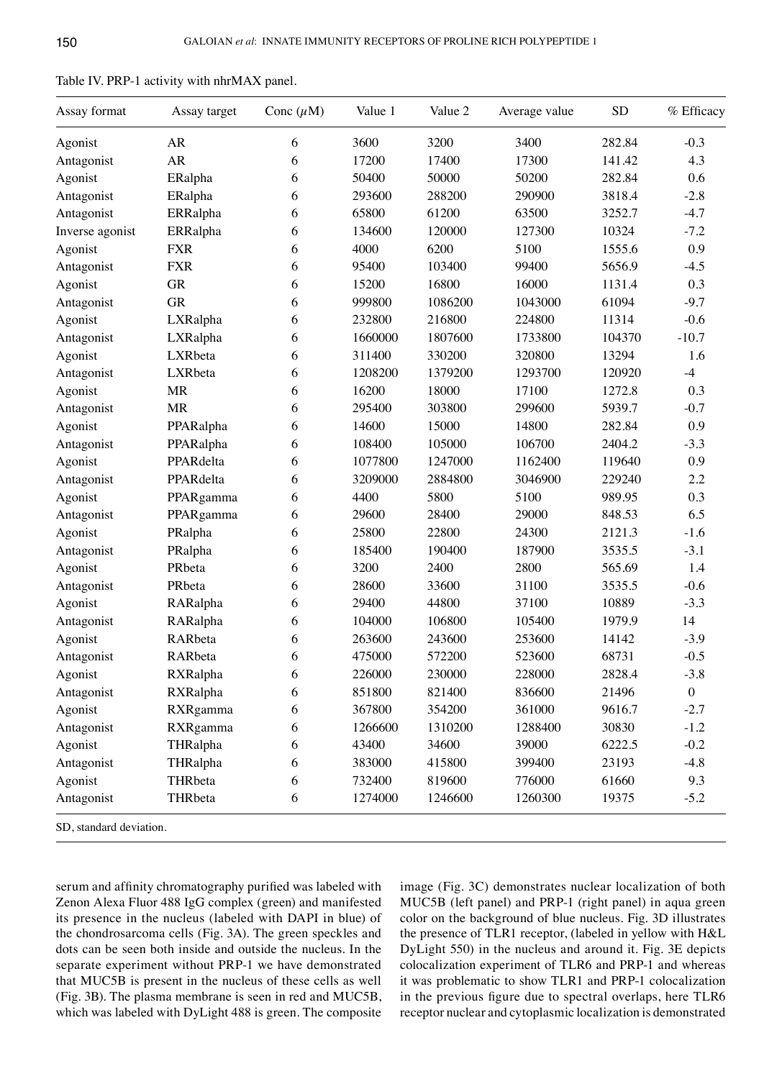| Assay format    | Assay target | Conc $(\mu M)$ | Value 1 | Value 2 | Average value | <b>SD</b> | % Efficacy       |
|-----------------|--------------|----------------|---------|---------|---------------|-----------|------------------|
| Agonist         | AR           | 6              | 3600    | 3200    | 3400          | 282.84    | $-0.3$           |
| Antagonist      | AR           | 6              | 17200   | 17400   | 17300         | 141.42    | 4.3              |
| Agonist         | ERalpha      | 6              | 50400   | 50000   | 50200         | 282.84    | 0.6              |
| Antagonist      | ERalpha      | 6              | 293600  | 288200  | 290900        | 3818.4    | $-2.8$           |
| Antagonist      | ERRalpha     | 6              | 65800   | 61200   | 63500         | 3252.7    | $-4.7$           |
| Inverse agonist | ERRalpha     | 6              | 134600  | 120000  | 127300        | 10324     | $-7.2$           |
| Agonist         | <b>FXR</b>   | 6              | 4000    | 6200    | 5100          | 1555.6    | 0.9              |
| Antagonist      | <b>FXR</b>   | 6              | 95400   | 103400  | 99400         | 5656.9    | $-4.5$           |
| Agonist         | <b>GR</b>    | 6              | 15200   | 16800   | 16000         | 1131.4    | 0.3              |
| Antagonist      | <b>GR</b>    | 6              | 999800  | 1086200 | 1043000       | 61094     | $-9.7$           |
| Agonist         | LXRalpha     | 6              | 232800  | 216800  | 224800        | 11314     | $-0.6$           |
| Antagonist      | LXRalpha     | 6              | 1660000 | 1807600 | 1733800       | 104370    | $-10.7$          |
| Agonist         | LXRbeta      | 6              | 311400  | 330200  | 320800        | 13294     | 1.6              |
| Antagonist      | LXRbeta      | 6              | 1208200 | 1379200 | 1293700       | 120920    | $-4$             |
| Agonist         | <b>MR</b>    | 6              | 16200   | 18000   | 17100         | 1272.8    | 0.3              |
| Antagonist      | <b>MR</b>    | 6              | 295400  | 303800  | 299600        | 5939.7    | $-0.7$           |
| Agonist         | PPARalpha    | 6              | 14600   | 15000   | 14800         | 282.84    | 0.9              |
| Antagonist      | PPARalpha    | 6              | 108400  | 105000  | 106700        | 2404.2    | $-3.3$           |
| Agonist         | PPARdelta    | 6              | 1077800 | 1247000 | 1162400       | 119640    | 0.9              |
| Antagonist      | PPARdelta    | 6              | 3209000 | 2884800 | 3046900       | 229240    | 2.2              |
| Agonist         | PPARgamma    | 6              | 4400    | 5800    | 5100          | 989.95    | 0.3              |
| Antagonist      | PPARgamma    | 6              | 29600   | 28400   | 29000         | 848.53    | 6.5              |
| Agonist         | PRalpha      | 6              | 25800   | 22800   | 24300         | 2121.3    | $-1.6$           |
| Antagonist      | PRalpha      | 6              | 185400  | 190400  | 187900        | 3535.5    | $-3.1$           |
| Agonist         | PRbeta       | 6              | 3200    | 2400    | 2800          | 565.69    | 1.4              |
| Antagonist      | PRbeta       | 6              | 28600   | 33600   | 31100         | 3535.5    | $-0.6$           |
| Agonist         | RARalpha     | 6              | 29400   | 44800   | 37100         | 10889     | $-3.3$           |
| Antagonist      | RARalpha     | 6              | 104000  | 106800  | 105400        | 1979.9    | 14               |
| Agonist         | RARbeta      | 6              | 263600  | 243600  | 253600        | 14142     | $-3.9$           |
| Antagonist      | RARbeta      | 6              | 475000  | 572200  | 523600        | 68731     | $-0.5$           |
| Agonist         | RXRalpha     | 6              | 226000  | 230000  | 228000        | 2828.4    | $-3.8$           |
| Antagonist      | RXRalpha     | 6              | 851800  | 821400  | 836600        | 21496     | $\boldsymbol{0}$ |
| Agonist         | RXRgamma     | 6              | 367800  | 354200  | 361000        | 9616.7    | $-2.7$           |
| Antagonist      | RXRgamma     | 6              | 1266600 | 1310200 | 1288400       | 30830     | $-1.2$           |
| Agonist         | THRalpha     | 6              | 43400   | 34600   | 39000         | 6222.5    | $-0.2$           |
| Antagonist      | THRalpha     | 6              | 383000  | 415800  | 399400        | 23193     | $-4.8$           |
| Agonist         | THRbeta      | 6              | 732400  | 819600  | 776000        | 61660     | 9.3              |
| Antagonist      | THRbeta      | 6              | 1274000 | 1246600 | 1260300       | 19375     | $-5.2$           |

| Table IV. PRP-1 activity with nhrMAX panel. |  |  |
|---------------------------------------------|--|--|
|---------------------------------------------|--|--|

SD, standard deviation.

serum and affinity chromatography purified was labeled with Zenon Alexa fluor 488 IgG complex (green) and manifested its presence in the nucleus (labeled with DAPI in blue) of the chondrosarcoma cells (Fig. 3A). The green speckles and dots can be seen both inside and outside the nucleus. In the separate experiment without PRP-1 we have demonstrated that MUC5B is present in the nucleus of these cells as well (Fig. 3B). The plasma membrane is seen in red and Muc5B, which was labeled with DyLight 488 is green. The composite image (Fig. 3C) demonstrates nuclear localization of both MUC5B (left panel) and PRP-1 (right panel) in aqua green color on the background of blue nucleus. Fig. 3D illustrates the presence of TLR1 receptor, (labeled in yellow with H&L Dylight 550) in the nucleus and around it. Fig. 3E depicts colocalization experiment of TLR6 and PRP-1 and whereas it was problematic to show TLR1 and PRP-1 colocalization in the previous figure due to spectral overlaps, here TLR6 receptor nuclear and cytoplasmic localization is demonstrated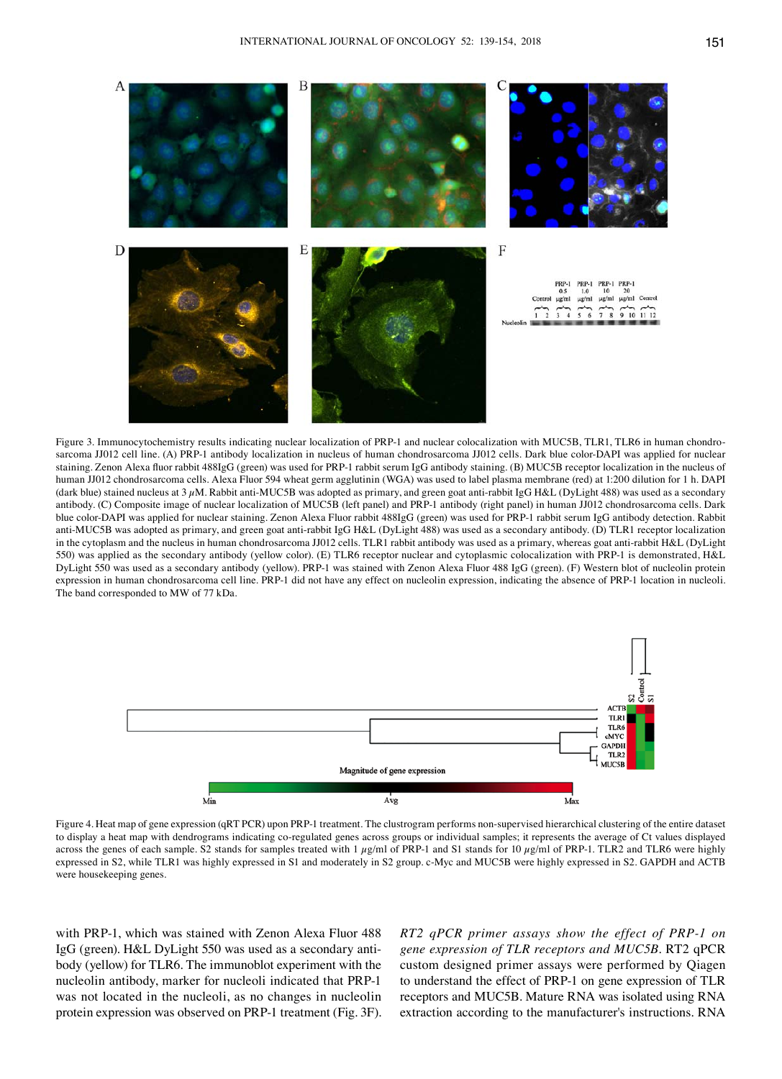

Figure 3. Immunocytochemistry results indicating nuclear localization of PRP-1 and nuclear colocalization with MUC5B, TLR1, TLR6 in human chondrosarcoma JJ012 cell line. (A) PRP-1 antibody localization in nucleus of human chondrosarcoma JJ012 cells. Dark blue color-DAPI was applied for nuclear staining. Zenon Alexa fluor rabbit 488IgG (green) was used for PRP-1 rabbit serum IgG antibody staining. (B) MUC5B receptor localization in the nucleus of human JJ012 chondrosarcoma cells. Alexa Fluor 594 wheat germ agglutinin (WGA) was used to label plasma membrane (red) at 1:200 dilution for 1 h. DAPI (dark blue) stained nucleus at  $3 \mu$ M. Rabbit anti-MUC5B was adopted as primary, and green goat anti-rabbit IgG H&L (DyLight 488) was used as a secondary antibody. (C) Composite image of nuclear localization of MUC5B (left panel) and PRP-1 antibody (right panel) in human JJ012 chondrosarcoma cells. Dark blue color-DAPI was applied for nuclear staining. Zenon Alexa fluor rabbit 488IgG (green) was used for PRP-1 rabbit serum IgG antibody detection. Rabbit anti-MUC5B was adopted as primary, and green goat anti-rabbit IgG H&L (Dylight 488) was used as a secondary antibody. (D) TLR1 receptor localization in the cytoplasm and the nucleus in human chondrosarcoma JJ012 cells. TLR1 rabbit antibody was used as a primary, whereas goat anti-rabbit H&L (DyLight 550) was applied as the secondary antibody (yellow color). (E) TLR6 receptor nuclear and cytoplasmic colocalization with PRP-1 is demonstrated, H&L Dylight 550 was used as a secondary antibody (yellow). PRP-1 was stained with zenon alexa fluor 488 IgG (green). (F) Western blot of nucleolin protein expression in human chondrosarcoma cell line. PRP-1 did not have any effect on nucleolin expression, indicating the absence of PRP-1 location in nucleoli. The band corresponded to MW of 77 kDa.



Figure 4. Heat map of gene expression (qRT PCR) upon PRP-1 treatment. The clustrogram performs non-supervised hierarchical clustering of the entire dataset to display a heat map with dendrograms indicating co-regulated genes across groups or individual samples; it represents the average of Ct values displayed across the genes of each sample. S2 stands for samples treated with 1  $\mu$ g/ml of PRP-1 and S1 stands for 10  $\mu$ g/ml of PRP-1. TLR2 and TLR6 were highly expressed in S2, while TLR1 was highly expressed in S1 and moderately in S2 group. c-Myc and MUC5B were highly expressed in S2. GAPDH and ACTB were housekeeping genes.

with PRP-1, which was stained with Zenon Alexa Fluor 488 IgG (green). H&L Dylight 550 was used as a secondary antibody (yellow) for TLR6. The immunoblot experiment with the nucleolin antibody, marker for nucleoli indicated that PRP-1 was not located in the nucleoli, as no changes in nucleolin protein expression was observed on PRP-1 treatment (Fig. 3F). *RT2 qPCR primer assays show the effect of PRP-1 on gene expression of TLR receptors and MUC5B*. RT2 qPCR custom designed primer assays were performed by Qiagen to understand the effect of PRP-1 on gene expression of TLR receptors and MUC5B. Mature RNA was isolated using RNA extraction according to the manufacturer's instructions. RNA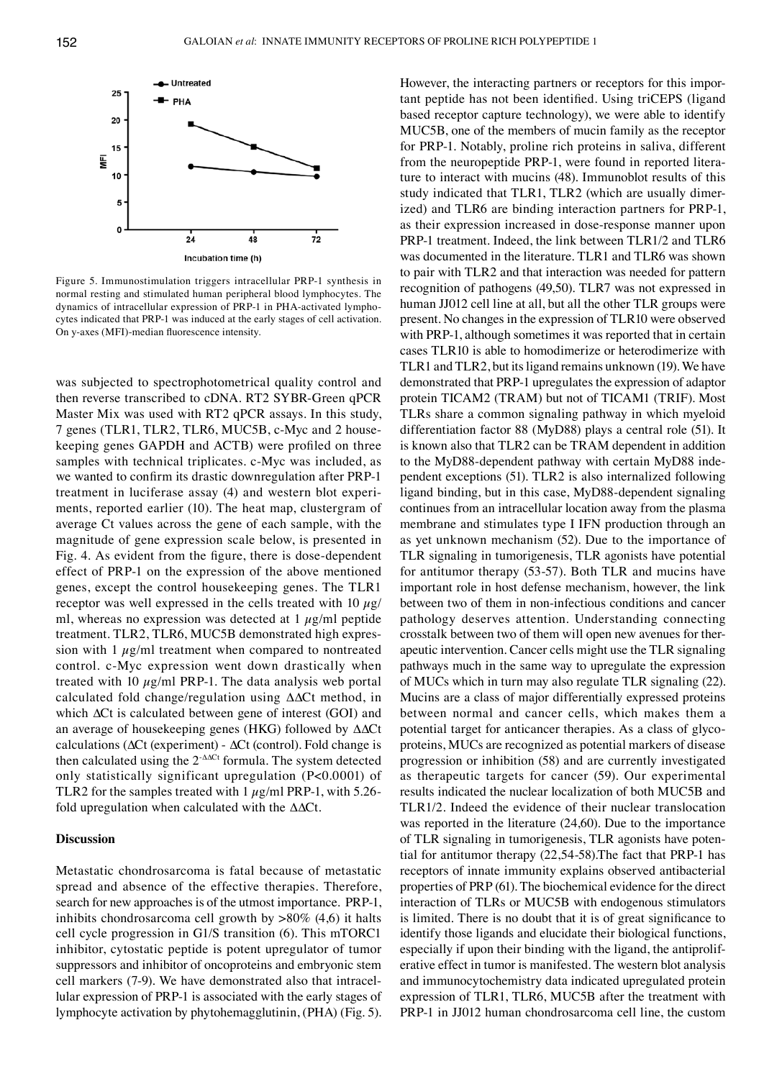

Figure 5. Immunostimulation triggers intracellular PRP-1 synthesis in normal resting and stimulated human peripheral blood lymphocytes. The dynamics of intracellular expression of PRP-1 in PHA-activated lymphocytes indicated that PRP-1 was induced at the early stages of cell activation. On y-axes (MFI)-median fluorescence intensity.

was subjected to spectrophotometrical quality control and then reverse transcribed to cDNA. RT2 SYBR-Green qPCR Master Mix was used with RT2 qPCR assays. In this study, 7 genes (TLR1, TLR2, TLR6, MUC5B, c-Myc and 2 housekeeping genes GAPDH and ACTB) were profiled on three samples with technical triplicates. c-Myc was included, as we wanted to confirm its drastic downregulation after PRP-1 treatment in luciferase assay (4) and western blot experiments, reported earlier (10). The heat map, clustergram of average Ct values across the gene of each sample, with the magnitude of gene expression scale below, is presented in Fig. 4. As evident from the figure, there is dose-dependent effect of PRP-1 on the expression of the above mentioned genes, except the control housekeeping genes. The TLR1 receptor was well expressed in the cells treated with 10  $\mu$ g/ ml, whereas no expression was detected at  $1 \mu g/ml$  peptide treatment. TLR2, TLR6, MUC5B demonstrated high expression with  $1 \mu g/ml$  treatment when compared to nontreated control. c-Myc expression went down drastically when treated with 10  $\mu$ g/ml PRP-1. The data analysis web portal calculated fold change/regulation using ∆∆Ct method, in which ∆Ct is calculated between gene of interest (GOI) and an average of housekeeping genes (HKG) followed by ∆∆Ct calculations (∆Ct (experiment) - ∆Ct (control). Fold change is then calculated using the 2-∆∆Ct formula. The system detected only statistically significant upregulation (P<0.0001) of TLR2 for the samples treated with  $1 \mu g/ml$  PRP-1, with 5.26fold upregulation when calculated with the ∆∆Ct.

#### **Discussion**

Metastatic chondrosarcoma is fatal because of metastatic spread and absence of the effective therapies. Therefore, search for new approaches is of the utmost importance. PRP-1, inhibits chondrosarcoma cell growth by  $>80\%$  (4,6) it halts cell cycle progression in G1/S transition (6). This mTORC1 inhibitor, cytostatic peptide is potent upregulator of tumor suppressors and inhibitor of oncoproteins and embryonic stem cell markers (7-9). We have demonstrated also that intracellular expression of PRP-1 is associated with the early stages of lymphocyte activation by phytohemagglutinin, (PHA) (Fig. 5). However, the interacting partners or receptors for this important peptide has not been identified. Using triCEPS (ligand based receptor capture technology), we were able to identify MUC5B, one of the members of mucin family as the receptor for PRP-1. Notably, proline rich proteins in saliva, different from the neuropeptide PRP-1, were found in reported literature to interact with mucins (48). Immunoblot results of this study indicated that TLR1, TLR2 (which are usually dimerized) and TLR6 are binding interaction partners for PRP-1, as their expression increased in dose-response manner upon PRP-1 treatment. Indeed, the link between TLR1/2 and TLR6 was documented in the literature. TLR1 and TLR6 was shown to pair with TLR2 and that interaction was needed for pattern recognition of pathogens (49,50). TLR7 was not expressed in human JJ012 cell line at all, but all the other TLR groups were present. No changes in the expression of TLR10 were observed with PRP-1, although sometimes it was reported that in certain cases TLR10 is able to homodimerize or heterodimerize with TLR1 and TLR2, but its ligand remains unknown (19). We have demonstrated that PRP-1 upregulates the expression of adaptor protein TICAM2 (TRAM) but not of TICAM1 (TRIF). Most TLRs share a common signaling pathway in which myeloid differentiation factor 88 (MyD88) plays a central role (51). It is known also that TLR2 can be TRAM dependent in addition to the MyD88-dependent pathway with certain MyD88 independent exceptions (51). TLR2 is also internalized following ligand binding, but in this case, MyD88-dependent signaling continues from an intracellular location away from the plasma membrane and stimulates type I IFN production through an as yet unknown mechanism (52). Due to the importance of TLR signaling in tumorigenesis, TLR agonists have potential for antitumor therapy (53-57). Both TLR and mucins have important role in host defense mechanism, however, the link between two of them in non-infectious conditions and cancer pathology deserves attention. Understanding connecting crosstalk between two of them will open new avenues for therapeutic intervention. Cancer cells might use the TLR signaling pathways much in the same way to upregulate the expression of MUCs which in turn may also regulate TLR signaling (22). Mucins are a class of major differentially expressed proteins between normal and cancer cells, which makes them a potential target for anticancer therapies. As a class of glycoproteins, MUCs are recognized as potential markers of disease progression or inhibition (58) and are currently investigated as therapeutic targets for cancer (59). Our experimental results indicated the nuclear localization of both MUC5B and TLR1/2. Indeed the evidence of their nuclear translocation was reported in the literature (24,60). Due to the importance of TLR signaling in tumorigenesis, TLR agonists have potential for antitumor therapy (22,54-58).The fact that PRP-1 has receptors of innate immunity explains observed antibacterial properties of PRP (61). The biochemical evidence for the direct interaction of TLRs or MUC5B with endogenous stimulators is limited. There is no doubt that it is of great significance to identify those ligands and elucidate their biological functions, especially if upon their binding with the ligand, the antiproliferative effect in tumor is manifested. The western blot analysis and immunocytochemistry data indicated upregulated protein expression of TLR1, TLR6, MUC5B after the treatment with PRP-1 in JJ012 human chondrosarcoma cell line, the custom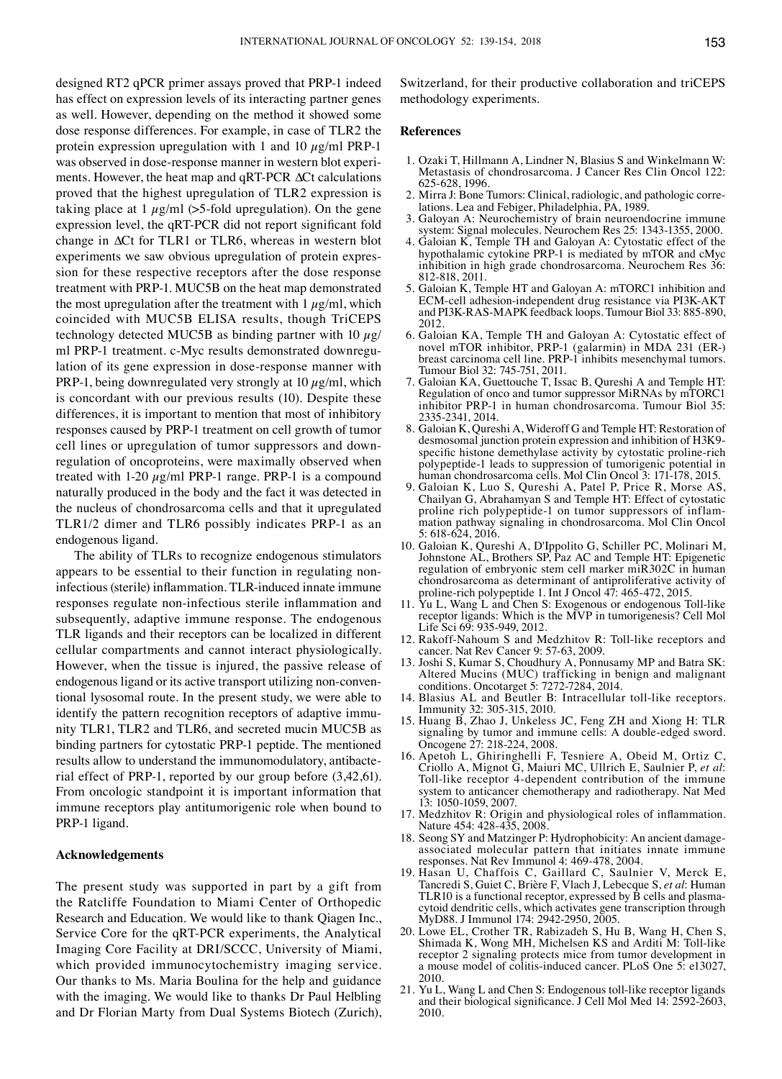designed RT2 qPCR primer assays proved that PRP-1 indeed has effect on expression levels of its interacting partner genes as well. However, depending on the method it showed some dose response differences. For example, in case of TLR2 the protein expression upregulation with 1 and 10  $\mu$ g/ml PRP-1 was observed in dose-response manner in western blot experiments. however, the heat map and qRT-PCR ∆Ct calculations proved that the highest upregulation of TLR2 expression is taking place at 1  $\mu$ g/ml (>5-fold upregulation). On the gene expression level, the qRT-PCR did not report significant fold change in ∆Ct for TLR1 or TLR6, whereas in western blot experiments we saw obvious upregulation of protein expression for these respective receptors after the dose response treatment with PRP-1. MUC5B on the heat map demonstrated the most upregulation after the treatment with  $1 \mu g/ml$ , which coincided with MUC5B ELISA results, though TriCEPS technology detected MUC5B as binding partner with 10  $\mu$ g/ ml PRP-1 treatment. c-Myc results demonstrated downregulation of its gene expression in dose-response manner with PRP-1, being downregulated very strongly at 10  $\mu$ g/ml, which is concordant with our previous results (10). Despite these differences, it is important to mention that most of inhibitory responses caused by PRP-1 treatment on cell growth of tumor cell lines or upregulation of tumor suppressors and downregulation of oncoproteins, were maximally observed when treated with 1-20  $\mu$ g/ml PRP-1 range. PRP-1 is a compound naturally produced in the body and the fact it was detected in the nucleus of chondrosarcoma cells and that it upregulated TLR1/2 dimer and TLR6 possibly indicates PRP-1 as an endogenous ligand.

The ability of TLRs to recognize endogenous stimulators appears to be essential to their function in regulating noninfectious (sterile) inflammation. TLR-induced innate immune responses regulate non-infectious sterile inflammation and subsequently, adaptive immune response. The endogenous TLR ligands and their receptors can be localized in different cellular compartments and cannot interact physiologically. However, when the tissue is injured, the passive release of endogenous ligand or its active transport utilizing non-conventional lysosomal route. In the present study, we were able to identify the pattern recognition receptors of adaptive immunity TLR1, TLR2 and TLR6, and secreted mucin MUC5B as binding partners for cytostatic PRP-1 peptide. The mentioned results allow to understand the immunomodulatory, antibacterial effect of PRP-1, reported by our group before (3,42,61). From oncologic standpoint it is important information that immune receptors play antitumorigenic role when bound to PRP-1 ligand.

## **Acknowledgements**

The present study was supported in part by a gift from the Ratcliffe Foundation to Miami Center of Orthopedic Research and Education. We would like to thank Qiagen Inc., Service Core for the qRT-PCR experiments, the Analytical Imaging Core Facility at DRI/SCCC, University of Miami, which provided immunocytochemistry imaging service. Our thanks to Ms. Maria Boulina for the help and guidance with the imaging. we would like to thanks Dr Paul Helbling and Dr Florian Marty from Dual Systems Biotech (Zurich), Switzerland, for their productive collaboration and triCEPS methodology experiments.

#### **References**

- 1. Ozaki T, Hillmann A, Lindner N, Blasius S and Winkelmann W: Metastasis of chondrosarcoma. J Cancer Res Clin Oncol 122: 625-628, 1996.
- 2. Mirra J: Bone Tumors: Clinical, radiologic, and pathologic corre- lations. Lea and Febiger, Philadelphia, PA, 1989.
- 3. Galoyan A: Neurochemistry of brain neuroendocrine immune system: Signal molecules. Neurochem Res 25: 1343-1355, 2000.
- 4. Galoian K, Temple TH and Galoyan A: Cytostatic effect of the hypothalamic cytokine PRP-1 is mediated by mTOR and cMyc inhibition in high grade chondrosarcoma. Neurochem Res 36: 812-818, 2011.
- 5. Galoian K, Temple HT and Galoyan A: mTORC1 inhibition and ECM-cell adhesion-independent drug resistance via PI3K-AKT and PI3K-RAS-MAPK feedback loops. Tumour Biol 33: 885-890, 2012.
- 6. Galoian KA, Temple TH and Galoyan A: Cytostatic effect of novel mTOR inhibitor, PRP-1 (galarmin) in MDA 231 (ER-) breast carcinoma cell line. PRP-1 inhibits mesenchymal tumors. Tumour Biol 32: 745-751, 2011.
- 7. Galoian KA, Guettouche T, Issac B, Qureshi A and Temple HT: Regulation of onco and tumor suppressor MiRNAs by mTORC1 inhibitor PRP-1 in human chondrosarcoma. Tumour Biol 35: 2335-2341, 2014.
- 8. Galoian K, Qureshi A, Wideroff G and Temple HT: Restoration of desmosomal junction protein expression and inhibition of H3K9 specific histone demethylase activity by cytostatic proline-rich polypeptide-1 leads to suppression of tumorigenic potential in human chondrosarcoma cells. Mol Clin Oncol 3: 171-178, 2015.
- 9. Galoian K, Luo S, Qureshi A, Patel P, Price R, Morse AS, Chailyan G, Abrahamyan S and Temple HT: Effect of cytostatic mation pathway signaling in chondrosarcoma. Mol Clin Oncol 5: 618-624, 2016.
- 10. Galoian K, Qureshi A, D'Ippolito G, Schiller PC, Molinari M, Johnstone AL, Brothers SP, Paz AC and Temple HT: Epigenetic regulation of embryonic stem cell marker miR302C in human chondrosarcoma as determinant of antiproliferative activity of proline-rich polypeptide 1. Int J Oncol 47: 465-472, 2015.
- 11. Yu L, Wang L and Chen S: Exogenous or endogenous Toll-like receptor ligands: Which is the MVP in tumorigenesis? Cell Mol Life Sci 69: 935-949, 2012.
- 12. Rakoff-Nahoum S and Medzhitov R: Toll-like receptors and cancer. Nat Rev Cancer 9: 57-63, 2009.
- 13. Joshi S, Kumar S, Choudhury A, Ponnusamy MP and Batra SK: Altered Mucins (MUC) trafficking in benign and malignant conditions. Oncotarget 5: 7272-7284, 2014.
- 14. Blasius AL and Beutler B: Intracellular toll-like receptors. Immunity 32: 305-315, 2010.
- 15. Huang B, Zhao J, Unkeless JC, Feng ZH and Xiong H: TLR signaling by tumor and immune cells: A double-edged sword. Oncogene 27: 218-224, 2008.
- 16. Apetoh L, Ghiringhelli F, Tesniere A, Obeid M, Ortiz C, Criollo A, Mignot G, Maiuri MC, Ullrich E, Saulnier P, *et al*: Toll-like receptor 4-dependent contribution of the immune system to anticancer chemotherapy and radiotherapy. Nat Med 13: 1050-1059, 2007.
- 17. Medzhitov R: Origin and physiological roles of inflammation. Nature 454: 428-435, 2008.
- 18. Seong SY and Matzinger P: Hydrophobicity: An ancient damageassociated molecular pattern that initiates innate immune responses. Nat Rev Immunol 4: 469-478, 2004.
- 19. Hasan U, Chaffois C, Gaillard C, Saulnier V, Merck E, Tancredi S, Guiet C, Brière F, Vlach J, Lebecque S, et al: Human TLR10 is a functional receptor, expressed by B cells and plasma-cytoid dendritic cells, which activates gene transcription through MyD88. J Immunol 174: 2942-2950, 2005.
- 20. Lowe EL, Crother TR, Rabizadeh S, Hu B, Wang H, Chen S, Shimada K, Wong MH, Michelsen KS and Arditi M: Toll-like receptor 2 signaling protects mice from tumor development in a mouse model of colitis-induced cancer. PLoS One 5: e13027, 2010.
- 21. Yu L, Wang L and Chen S: Endogenous toll-like receptor ligands and their biological significance. J Cell Mol Med 14: 2592-2603, 2010.